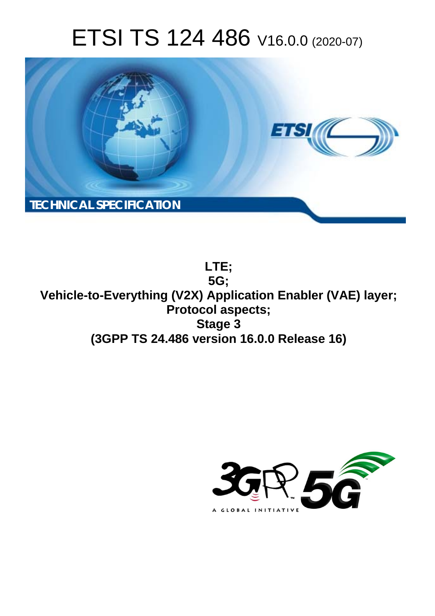# ETSI TS 124 486 V16.0.0 (2020-07)



**LTE; 5G; Vehicle-to-Everything (V2X) Application Enabler (VAE) layer; Protocol aspects; Stage 3 (3GPP TS 24.486 version 16.0.0 Release 16)** 

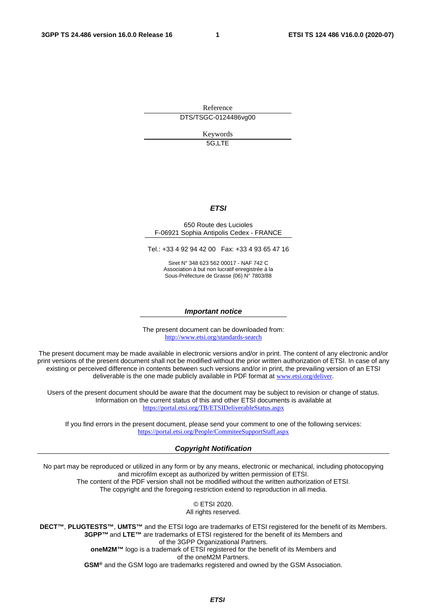Reference DTS/TSGC-0124486vg00

> Keywords 5G,LTE

#### *ETSI*

#### 650 Route des Lucioles F-06921 Sophia Antipolis Cedex - FRANCE

Tel.: +33 4 92 94 42 00 Fax: +33 4 93 65 47 16

Siret N° 348 623 562 00017 - NAF 742 C Association à but non lucratif enregistrée à la Sous-Préfecture de Grasse (06) N° 7803/88

#### *Important notice*

The present document can be downloaded from: <http://www.etsi.org/standards-search>

The present document may be made available in electronic versions and/or in print. The content of any electronic and/or print versions of the present document shall not be modified without the prior written authorization of ETSI. In case of any existing or perceived difference in contents between such versions and/or in print, the prevailing version of an ETSI deliverable is the one made publicly available in PDF format at [www.etsi.org/deliver](http://www.etsi.org/deliver).

Users of the present document should be aware that the document may be subject to revision or change of status. Information on the current status of this and other ETSI documents is available at <https://portal.etsi.org/TB/ETSIDeliverableStatus.aspx>

If you find errors in the present document, please send your comment to one of the following services: <https://portal.etsi.org/People/CommiteeSupportStaff.aspx>

#### *Copyright Notification*

No part may be reproduced or utilized in any form or by any means, electronic or mechanical, including photocopying and microfilm except as authorized by written permission of ETSI. The content of the PDF version shall not be modified without the written authorization of ETSI. The copyright and the foregoing restriction extend to reproduction in all media.

> © ETSI 2020. All rights reserved.

**DECT™**, **PLUGTESTS™**, **UMTS™** and the ETSI logo are trademarks of ETSI registered for the benefit of its Members. **3GPP™** and **LTE™** are trademarks of ETSI registered for the benefit of its Members and of the 3GPP Organizational Partners. **oneM2M™** logo is a trademark of ETSI registered for the benefit of its Members and of the oneM2M Partners. **GSM®** and the GSM logo are trademarks registered and owned by the GSM Association.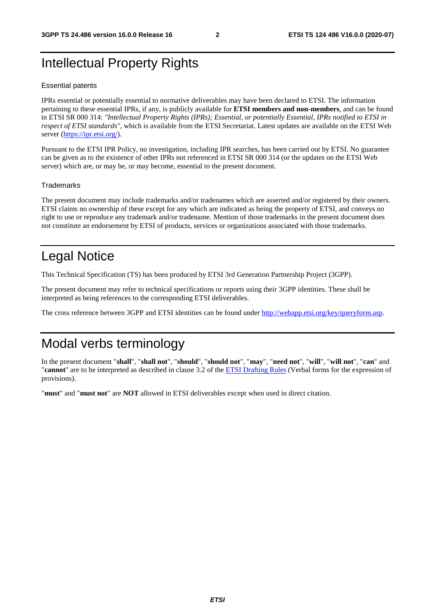# Intellectual Property Rights

#### Essential patents

IPRs essential or potentially essential to normative deliverables may have been declared to ETSI. The information pertaining to these essential IPRs, if any, is publicly available for **ETSI members and non-members**, and can be found in ETSI SR 000 314: *"Intellectual Property Rights (IPRs); Essential, or potentially Essential, IPRs notified to ETSI in respect of ETSI standards"*, which is available from the ETSI Secretariat. Latest updates are available on the ETSI Web server [\(https://ipr.etsi.org/](https://ipr.etsi.org/)).

Pursuant to the ETSI IPR Policy, no investigation, including IPR searches, has been carried out by ETSI. No guarantee can be given as to the existence of other IPRs not referenced in ETSI SR 000 314 (or the updates on the ETSI Web server) which are, or may be, or may become, essential to the present document.

#### **Trademarks**

The present document may include trademarks and/or tradenames which are asserted and/or registered by their owners. ETSI claims no ownership of these except for any which are indicated as being the property of ETSI, and conveys no right to use or reproduce any trademark and/or tradename. Mention of those trademarks in the present document does not constitute an endorsement by ETSI of products, services or organizations associated with those trademarks.

# Legal Notice

This Technical Specification (TS) has been produced by ETSI 3rd Generation Partnership Project (3GPP).

The present document may refer to technical specifications or reports using their 3GPP identities. These shall be interpreted as being references to the corresponding ETSI deliverables.

The cross reference between 3GPP and ETSI identities can be found under<http://webapp.etsi.org/key/queryform.asp>.

# Modal verbs terminology

In the present document "**shall**", "**shall not**", "**should**", "**should not**", "**may**", "**need not**", "**will**", "**will not**", "**can**" and "**cannot**" are to be interpreted as described in clause 3.2 of the [ETSI Drafting Rules](https://portal.etsi.org/Services/editHelp!/Howtostart/ETSIDraftingRules.aspx) (Verbal forms for the expression of provisions).

"**must**" and "**must not**" are **NOT** allowed in ETSI deliverables except when used in direct citation.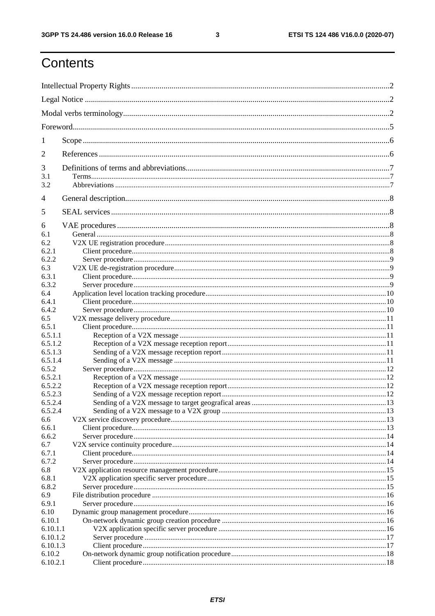$\mathbf{3}$ 

# Contents

| 1            |  |  |  |  |  |  |
|--------------|--|--|--|--|--|--|
| 2            |  |  |  |  |  |  |
| 3            |  |  |  |  |  |  |
| 3.1<br>3.2   |  |  |  |  |  |  |
|              |  |  |  |  |  |  |
| 4            |  |  |  |  |  |  |
| 5            |  |  |  |  |  |  |
| 6            |  |  |  |  |  |  |
| 6.1          |  |  |  |  |  |  |
| 6.2          |  |  |  |  |  |  |
| 6.2.1        |  |  |  |  |  |  |
| 6.2.2        |  |  |  |  |  |  |
| 6.3          |  |  |  |  |  |  |
| 6.3.1        |  |  |  |  |  |  |
| 6.3.2        |  |  |  |  |  |  |
| 6.4<br>6.4.1 |  |  |  |  |  |  |
| 6.4.2        |  |  |  |  |  |  |
| 6.5          |  |  |  |  |  |  |
| 6.5.1        |  |  |  |  |  |  |
| 6.5.1.1      |  |  |  |  |  |  |
| 6.5.1.2      |  |  |  |  |  |  |
| 6.5.1.3      |  |  |  |  |  |  |
| 6.5.1.4      |  |  |  |  |  |  |
| 6.5.2        |  |  |  |  |  |  |
| 6.5.2.1      |  |  |  |  |  |  |
| 6.5.2.2      |  |  |  |  |  |  |
| 6.5.2.3      |  |  |  |  |  |  |
| 6.5.2.4      |  |  |  |  |  |  |
| 6.5.2.4      |  |  |  |  |  |  |
| 6.6          |  |  |  |  |  |  |
| 6.6.1        |  |  |  |  |  |  |
| 6.6.2        |  |  |  |  |  |  |
| 6.7          |  |  |  |  |  |  |
| 6.7.1        |  |  |  |  |  |  |
| 6.7.2        |  |  |  |  |  |  |
| 6.8          |  |  |  |  |  |  |
| 6.8.1        |  |  |  |  |  |  |
| 6.8.2        |  |  |  |  |  |  |
| 6.9          |  |  |  |  |  |  |
| 6.9.1        |  |  |  |  |  |  |
| 6.10         |  |  |  |  |  |  |
| 6.10.1       |  |  |  |  |  |  |
| 6.10.1.1     |  |  |  |  |  |  |
| 6.10.1.2     |  |  |  |  |  |  |
| 6.10.1.3     |  |  |  |  |  |  |
| 6.10.2       |  |  |  |  |  |  |
| 6.10.2.1     |  |  |  |  |  |  |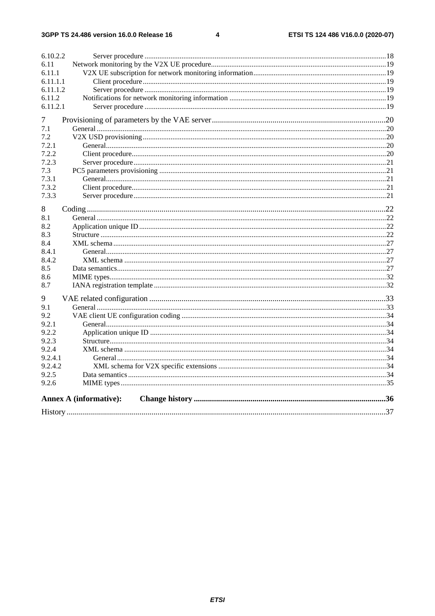$\overline{\mathbf{4}}$ 

| 6.10.2.2 |                               |  |
|----------|-------------------------------|--|
| 6.11     |                               |  |
| 6.11.1   |                               |  |
| 6.11.1.1 |                               |  |
| 6.11.1.2 |                               |  |
| 6.11.2   |                               |  |
| 6.11.2.1 |                               |  |
| 7        |                               |  |
| 7.1      |                               |  |
| 7.2      |                               |  |
| 7.2.1    |                               |  |
| 7.2.2    |                               |  |
| 7.2.3    |                               |  |
| 7.3      |                               |  |
| 7.3.1    |                               |  |
| 7.3.2    |                               |  |
| 7.3.3    |                               |  |
| 8        |                               |  |
| 8.1      |                               |  |
| 8.2      |                               |  |
| 8.3      |                               |  |
| 8.4      |                               |  |
| 8.4.1    |                               |  |
| 8.4.2    |                               |  |
| 8.5      |                               |  |
| 8.6      |                               |  |
| 8.7      |                               |  |
| 9        |                               |  |
| 9.1      |                               |  |
| 9.2      |                               |  |
| 9.2.1    |                               |  |
| 9.2.2    |                               |  |
| 9.2.3    |                               |  |
| 9.2.4    |                               |  |
| 9.2.4.1  |                               |  |
| 9.2.4.2  |                               |  |
| 9.2.5    |                               |  |
| 9.2.6    |                               |  |
|          | <b>Annex A (informative):</b> |  |
|          |                               |  |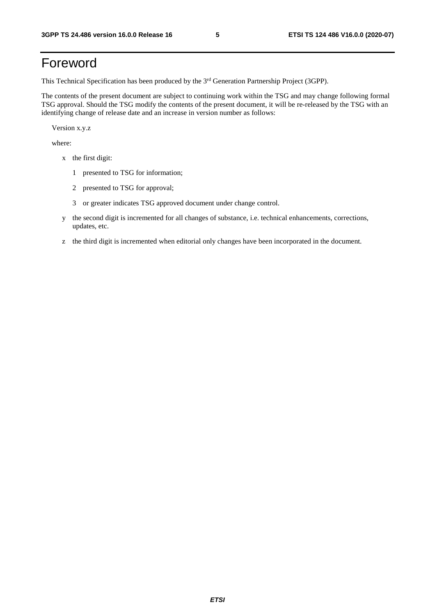# Foreword

This Technical Specification has been produced by the 3<sup>rd</sup> Generation Partnership Project (3GPP).

The contents of the present document are subject to continuing work within the TSG and may change following formal TSG approval. Should the TSG modify the contents of the present document, it will be re-released by the TSG with an identifying change of release date and an increase in version number as follows:

Version x.y.z

where:

- x the first digit:
	- 1 presented to TSG for information;
	- 2 presented to TSG for approval;
	- 3 or greater indicates TSG approved document under change control.
- y the second digit is incremented for all changes of substance, i.e. technical enhancements, corrections, updates, etc.
- z the third digit is incremented when editorial only changes have been incorporated in the document.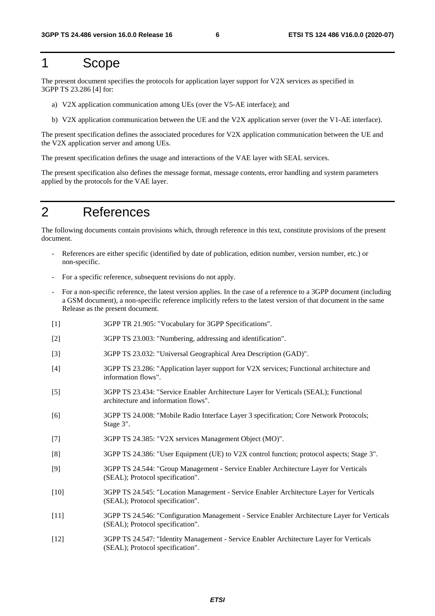### 1 Scope

The present document specifies the protocols for application layer support for V2X services as specified in 3GPP TS 23.286 [4] for:

- a) V2X application communication among UEs (over the V5-AE interface); and
- b) V2X application communication between the UE and the V2X application server (over the V1-AE interface).

The present specification defines the associated procedures for V2X application communication between the UE and the V2X application server and among UEs.

The present specification defines the usage and interactions of the VAE layer with SEAL services.

The present specification also defines the message format, message contents, error handling and system parameters applied by the protocols for the VAE layer.

### 2 References

The following documents contain provisions which, through reference in this text, constitute provisions of the present document.

- References are either specific (identified by date of publication, edition number, version number, etc.) or non-specific.
- For a specific reference, subsequent revisions do not apply.
- For a non-specific reference, the latest version applies. In the case of a reference to a 3GPP document (including a GSM document), a non-specific reference implicitly refers to the latest version of that document in the same Release as the present document.
- [1] 3GPP TR 21.905: "Vocabulary for 3GPP Specifications".
- [2] 3GPP TS 23.003: "Numbering, addressing and identification".
- [3] 3GPP TS 23.032: "Universal Geographical Area Description (GAD)".
- [4] 3GPP TS 23.286: "Application layer support for V2X services; Functional architecture and information flows".
- [5] 3GPP TS 23.434: "Service Enabler Architecture Layer for Verticals (SEAL); Functional architecture and information flows".
- [6] 3GPP TS 24.008: "Mobile Radio Interface Layer 3 specification; Core Network Protocols; Stage 3".
- [7] 3GPP TS 24.385: "V2X services Management Object (MO)".
- [8] 3GPP TS 24.386: "User Equipment (UE) to V2X control function; protocol aspects; Stage 3".
- [9] 3GPP TS 24.544: "Group Management Service Enabler Architecture Layer for Verticals (SEAL); Protocol specification".
- [10] 3GPP TS 24.545: "Location Management Service Enabler Architecture Layer for Verticals (SEAL); Protocol specification".
- [11] 3GPP TS 24.546: "Configuration Management Service Enabler Architecture Layer for Verticals (SEAL); Protocol specification".
- [12] 3GPP TS 24.547: "Identity Management Service Enabler Architecture Layer for Verticals (SEAL); Protocol specification".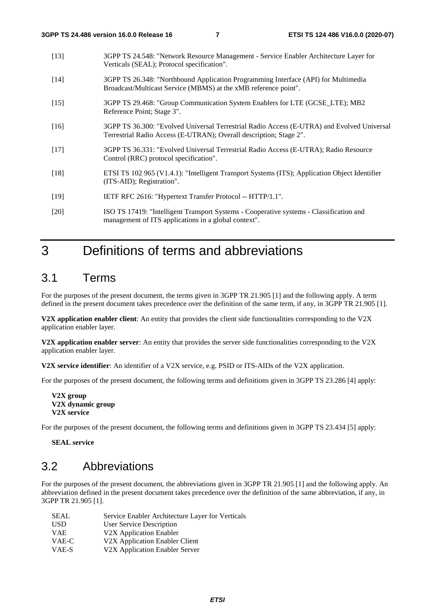- [13] 3GPP TS 24.548: "Network Resource Management Service Enabler Architecture Layer for Verticals (SEAL); Protocol specification".
- [14] 3GPP TS 26.348: "Northbound Application Programming Interface (API) for Multimedia Broadcast/Multicast Service (MBMS) at the xMB reference point".
- [15] 3GPP TS 29.468: "Group Communication System Enablers for LTE (GCSE\_LTE); MB2 Reference Point; Stage 3".
- [16] 3GPP TS 36.300: "Evolved Universal Terrestrial Radio Access (E-UTRA) and Evolved Universal Terrestrial Radio Access (E-UTRAN); Overall description; Stage 2".
- [17] 3GPP TS 36.331: "Evolved Universal Terrestrial Radio Access (E-UTRA); Radio Resource Control (RRC) protocol specification".
- [18] ETSI TS 102 965 (V1.4.1): "Intelligent Transport Systems (ITS); Application Object Identifier (ITS-AID); Registration".
- [19] IETF RFC 2616: "Hypertext Transfer Protocol -- HTTP/1.1".
- [20] ISO TS 17419: "Intelligent Transport Systems Cooperative systems Classification and management of ITS applications in a global context".

### 3 Definitions of terms and abbreviations

### 3.1 Terms

For the purposes of the present document, the terms given in 3GPP TR 21.905 [1] and the following apply. A term defined in the present document takes precedence over the definition of the same term, if any, in 3GPP TR 21.905 [1].

**V2X application enabler client**: An entity that provides the client side functionalities corresponding to the V2X application enabler layer.

**V2X application enabler server**: An entity that provides the server side functionalities corresponding to the V2X application enabler layer.

**V2X service identifier**: An identifier of a V2X service, e.g. PSID or ITS-AIDs of the V2X application.

For the purposes of the present document, the following terms and definitions given in 3GPP TS 23.286 [4] apply:

For the purposes of the present document, the following terms and definitions given in 3GPP TS 23.434 [5] apply:

**SEAL service** 

### 3.2 Abbreviations

For the purposes of the present document, the abbreviations given in 3GPP TR 21.905 [1] and the following apply. An abbreviation defined in the present document takes precedence over the definition of the same abbreviation, if any, in 3GPP TR 21.905 [1].

| SEAL       | Service Enabler Architecture Layer for Verticals |
|------------|--------------------------------------------------|
| USD        | User Service Description                         |
| <b>VAE</b> | V2X Application Enabler                          |
| VAE-C      | V2X Application Enabler Client                   |
| VAE-S      | V2X Application Enabler Server                   |

**V2X group V2X dynamic group V2X service**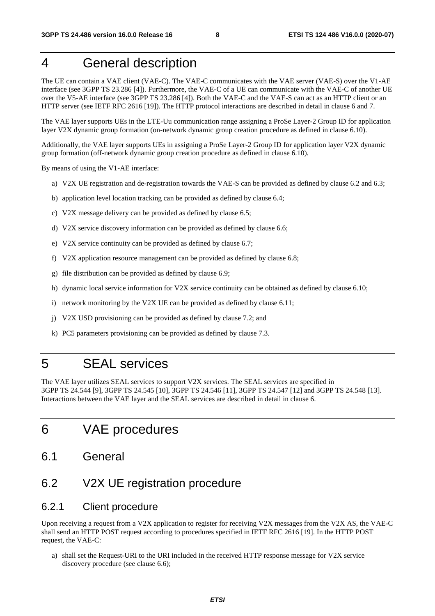# 4 General description

The UE can contain a VAE client (VAE-C). The VAE-C communicates with the VAE server (VAE-S) over the V1-AE interface (see 3GPP TS 23.286 [4]). Furthermore, the VAE-C of a UE can communicate with the VAE-C of another UE over the V5-AE interface (see 3GPP TS 23.286 [4]). Both the VAE-C and the VAE-S can act as an HTTP client or an HTTP server (see IETF RFC 2616 [19]). The HTTP protocol interactions are described in detail in clause 6 and 7.

The VAE layer supports UEs in the LTE-Uu communication range assigning a ProSe Layer-2 Group ID for application layer V2X dynamic group formation (on-network dynamic group creation procedure as defined in clause 6.10).

Additionally, the VAE layer supports UEs in assigning a ProSe Layer-2 Group ID for application layer V2X dynamic group formation (off-network dynamic group creation procedure as defined in clause 6.10).

By means of using the V1-AE interface:

- a) V2X UE registration and de-registration towards the VAE-S can be provided as defined by clause 6.2 and 6.3;
- b) application level location tracking can be provided as defined by clause 6.4;
- c) V2X message delivery can be provided as defined by clause 6.5;
- d) V2X service discovery information can be provided as defined by clause 6.6;
- e) V2X service continuity can be provided as defined by clause 6.7;
- f) V2X application resource management can be provided as defined by clause 6.8;
- g) file distribution can be provided as defined by clause 6.9;
- h) dynamic local service information for V2X service continuity can be obtained as defined by clause 6.10;
- i) network monitoring by the V2X UE can be provided as defined by clause 6.11;
- j) V2X USD provisioning can be provided as defined by clause 7.2; and
- k) PC5 parameters provisioning can be provided as defined by clause 7.3.

### 5 SEAL services

The VAE layer utilizes SEAL services to support V2X services. The SEAL services are specified in 3GPP TS 24.544 [9], 3GPP TS 24.545 [10], 3GPP TS 24.546 [11], 3GPP TS 24.547 [12] and 3GPP TS 24.548 [13]. Interactions between the VAE layer and the SEAL services are described in detail in clause 6.

### 6 VAE procedures

- 6.1 General
- 6.2 V2X UE registration procedure

#### 6.2.1 Client procedure

Upon receiving a request from a V2X application to register for receiving V2X messages from the V2X AS, the VAE-C shall send an HTTP POST request according to procedures specified in IETF RFC 2616 [19]. In the HTTP POST request, the VAE-C:

a) shall set the Request-URI to the URI included in the received HTTP response message for V2X service discovery procedure (see clause 6.6);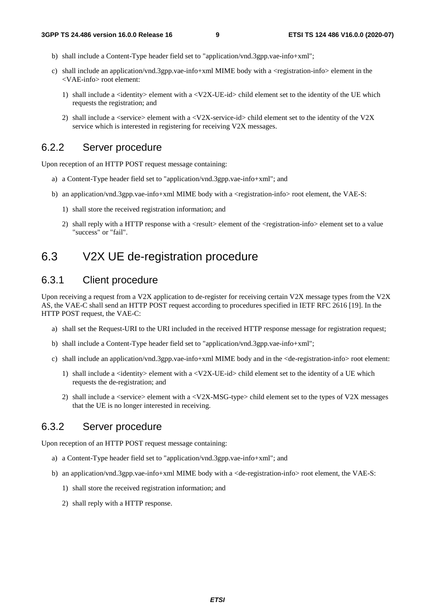- b) shall include a Content-Type header field set to "application/vnd.3gpp.vae-info+xml";
- c) shall include an application/vnd.3gpp.vae-info+xml MIME body with a <registration-info> element in the <VAE-info> root element:
	- 1) shall include a  $\le$ identity  $>$  element with a  $\le$ V2X-UE-id $>$  child element set to the identity of the UE which requests the registration; and
	- 2) shall include a <service> element with a <V2X-service-id> child element set to the identity of the V2X service which is interested in registering for receiving V2X messages.

### 6.2.2 Server procedure

Upon reception of an HTTP POST request message containing:

- a) a Content-Type header field set to "application/vnd.3gpp.vae-info+xml"; and
- b) an application/vnd.3gpp.vae-info+xml MIME body with a <registration-info> root element, the VAE-S:
	- 1) shall store the received registration information; and
	- 2) shall reply with a HTTP response with a <result> element of the <registration-info> element set to a value "success" or "fail".

### 6.3 V2X UE de-registration procedure

### 6.3.1 Client procedure

Upon receiving a request from a V2X application to de-register for receiving certain V2X message types from the V2X AS, the VAE-C shall send an HTTP POST request according to procedures specified in IETF RFC 2616 [19]. In the HTTP POST request, the VAE-C:

- a) shall set the Request-URI to the URI included in the received HTTP response message for registration request;
- b) shall include a Content-Type header field set to "application/vnd.3gpp.vae-info+xml";
- c) shall include an application/vnd.3gpp.vae-info+xml MIME body and in the <de-registration-info> root element:
	- 1) shall include a <identity> element with a <V2X-UE-id> child element set to the identity of a UE which requests the de-registration; and
	- 2) shall include a <service> element with a <V2X-MSG-type> child element set to the types of V2X messages that the UE is no longer interested in receiving.

### 6.3.2 Server procedure

Upon reception of an HTTP POST request message containing:

- a) a Content-Type header field set to "application/vnd.3gpp.vae-info+xml"; and
- b) an application/vnd.3gpp.vae-info+xml MIME body with a <de-registration-info> root element, the VAE-S:
	- 1) shall store the received registration information; and
	- 2) shall reply with a HTTP response.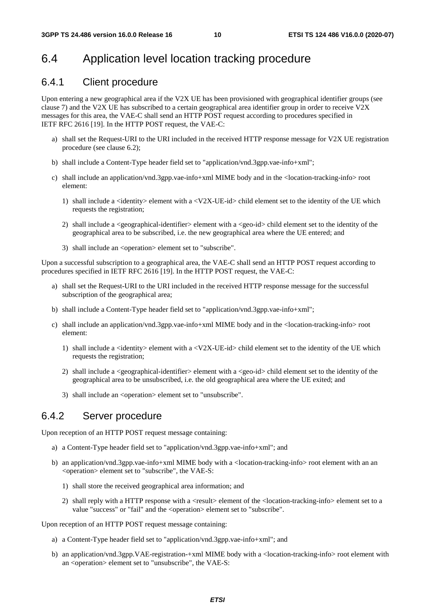### 6.4 Application level location tracking procedure

#### 6.4.1 Client procedure

Upon entering a new geographical area if the V2X UE has been provisioned with geographical identifier groups (see clause 7) and the V2X UE has subscribed to a certain geographical area identifier group in order to receive V2X messages for this area, the VAE-C shall send an HTTP POST request according to procedures specified in IETF RFC 2616 [19]. In the HTTP POST request, the VAE-C:

- a) shall set the Request-URI to the URI included in the received HTTP response message for V2X UE registration procedure (see clause 6.2);
- b) shall include a Content-Type header field set to "application/vnd.3gpp.vae-info+xml";
- c) shall include an application/vnd.3gpp.vae-info+xml MIME body and in the <location-tracking-info> root element:
	- 1) shall include a  $\le$ identity $>$  element with a  $\le$ V2X-UE-id $>$  child element set to the identity of the UE which requests the registration;
	- 2) shall include a <geographical-identifier> element with a <geo-id> child element set to the identity of the geographical area to be subscribed, i.e. the new geographical area where the UE entered; and
	- 3) shall include an <operation> element set to "subscribe".

Upon a successful subscription to a geographical area, the VAE-C shall send an HTTP POST request according to procedures specified in IETF RFC 2616 [19]. In the HTTP POST request, the VAE-C:

- a) shall set the Request-URI to the URI included in the received HTTP response message for the successful subscription of the geographical area;
- b) shall include a Content-Type header field set to "application/vnd.3gpp.vae-info+xml";
- c) shall include an application/vnd.3gpp.vae-info+xml MIME body and in the <location-tracking-info> root element:
	- 1) shall include a  $\le$ identity $>$  element with a  $\le$ V2X-UE-id $>$  child element set to the identity of the UE which requests the registration;
	- 2) shall include a <geographical-identifier> element with a <geo-id> child element set to the identity of the geographical area to be unsubscribed, i.e. the old geographical area where the UE exited; and
	- 3) shall include an <operation> element set to "unsubscribe".

### 6.4.2 Server procedure

Upon reception of an HTTP POST request message containing:

- a) a Content-Type header field set to "application/vnd.3gpp.vae-info+xml"; and
- b) an application/vnd.3gpp.vae-info+xml MIME body with a <location-tracking-info> root element with an an <operation> element set to "subscribe", the VAE-S:
	- 1) shall store the received geographical area information; and
	- 2) shall reply with a HTTP response with a <result> element of the <location-tracking-info> element set to a value "success" or "fail" and the <operation> element set to "subscribe".

Upon reception of an HTTP POST request message containing:

- a) a Content-Type header field set to "application/vnd.3gpp.vae-info+xml"; and
- b) an application/vnd.3gpp.VAE-registration-+xml MIME body with a <location-tracking-info> root element with an <operation> element set to "unsubscribe", the VAE-S: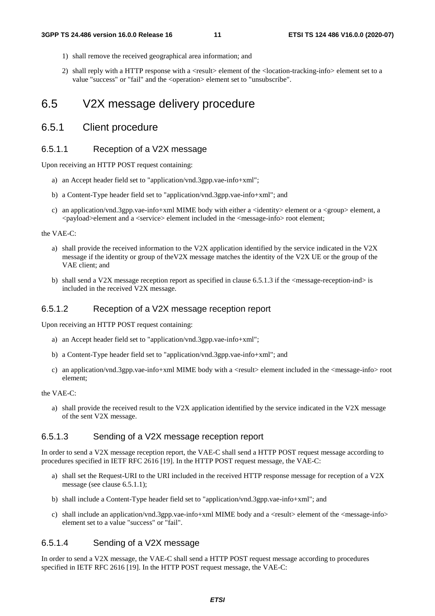- 1) shall remove the received geographical area information; and
- 2) shall reply with a HTTP response with a <result> element of the <location-tracking-info> element set to a value "success" or "fail" and the <operation> element set to "unsubscribe".

### 6.5 V2X message delivery procedure

#### 6.5.1 Client procedure

#### 6.5.1.1 Reception of a V2X message

Upon receiving an HTTP POST request containing:

- a) an Accept header field set to "application/vnd.3gpp.vae-info+xml";
- b) a Content-Type header field set to "application/vnd.3gpp.vae-info+xml"; and
- c) an application/vnd.3gpp.vae-info+xml MIME body with either a <identity> element or a <group> element, a <payload>element and a <service> element included in the <message-info> root element;

#### the VAE-C:

- a) shall provide the received information to the V2X application identified by the service indicated in the V2X message if the identity or group of theV2X message matches the identity of the V2X UE or the group of the VAE client; and
- b) shall send a V2X message reception report as specified in clause 6.5.1.3 if the <message-reception-ind> is included in the received V2X message.

#### 6.5.1.2 Reception of a V2X message reception report

Upon receiving an HTTP POST request containing:

- a) an Accept header field set to "application/vnd.3gpp.vae-info+xml";
- b) a Content-Type header field set to "application/vnd.3gpp.vae-info+xml"; and
- c) an application/vnd.3gpp.vae-info+xml MIME body with a <result> element included in the <message-info> root element;

#### the VAE-C:

a) shall provide the received result to the V2X application identified by the service indicated in the V2X message of the sent V2X message.

#### 6.5.1.3 Sending of a V2X message reception report

In order to send a V2X message reception report, the VAE-C shall send a HTTP POST request message according to procedures specified in IETF RFC 2616 [19]. In the HTTP POST request message, the VAE-C:

- a) shall set the Request-URI to the URI included in the received HTTP response message for reception of a V2X message (see clause 6.5.1.1);
- b) shall include a Content-Type header field set to "application/vnd.3gpp.vae-info+xml"; and
- c) shall include an application/vnd.3gpp.vae-info+xml MIME body and a  $\langle$ result $\rangle$  element of the  $\langle$ message-info $\rangle$ element set to a value "success" or "fail".

#### 6.5.1.4 Sending of a V2X message

In order to send a V2X message, the VAE-C shall send a HTTP POST request message according to procedures specified in IETF RFC 2616 [19]. In the HTTP POST request message, the VAE-C: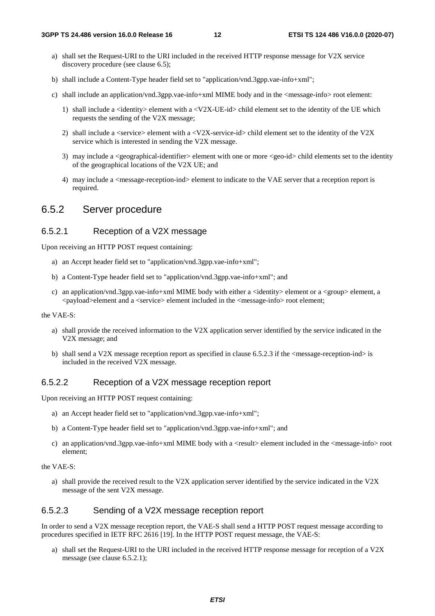- a) shall set the Request-URI to the URI included in the received HTTP response message for V2X service discovery procedure (see clause 6.5);
- b) shall include a Content-Type header field set to "application/vnd.3gpp.vae-info+xml";
- c) shall include an application/vnd.3gpp.vae-info+xml MIME body and in the <message-info> root element:
	- 1) shall include a  $\le$ identity  $>$  element with a  $\le$ V2X-UE-id $>$  child element set to the identity of the UE which requests the sending of the V2X message;
	- 2) shall include a  $\le$ service $\ge$  element with a  $\le$ V2X-service-id $\ge$  child element set to the identity of the V2X service which is interested in sending the V2X message.
	- 3) may include a <geographical-identifier> element with one or more <geo-id> child elements set to the identity of the geographical locations of the V2X UE; and
	- 4) may include a <message-reception-ind> element to indicate to the VAE server that a reception report is required.

### 6.5.2 Server procedure

#### 6.5.2.1 Reception of a V2X message

Upon receiving an HTTP POST request containing:

- a) an Accept header field set to "application/vnd.3gpp.vae-info+xml";
- b) a Content-Type header field set to "application/vnd.3gpp.vae-info+xml"; and
- c) an application/vnd.3gpp.vae-info+xml MIME body with either a <identity> element or a <group> element, a <payload>element and a <service> element included in the <message-info> root element;

#### the VAE-S:

- a) shall provide the received information to the V2X application server identified by the service indicated in the V2X message; and
- b) shall send a V2X message reception report as specified in clause 6.5.2.3 if the <message-reception-ind> is included in the received V2X message.

#### 6.5.2.2 Reception of a V2X message reception report

Upon receiving an HTTP POST request containing:

- a) an Accept header field set to "application/vnd.3gpp.vae-info+xml";
- b) a Content-Type header field set to "application/vnd.3gpp.vae-info+xml"; and
- c) an application/vnd.3gpp.vae-info+xml MIME body with a <result> element included in the <message-info> root element;

the VAE-S:

a) shall provide the received result to the V2X application server identified by the service indicated in the V2X message of the sent V2X message.

#### 6.5.2.3 Sending of a V2X message reception report

In order to send a V2X message reception report, the VAE-S shall send a HTTP POST request message according to procedures specified in IETF RFC 2616 [19]. In the HTTP POST request message, the VAE-S:

a) shall set the Request-URI to the URI included in the received HTTP response message for reception of a V2X message (see clause 6.5.2.1);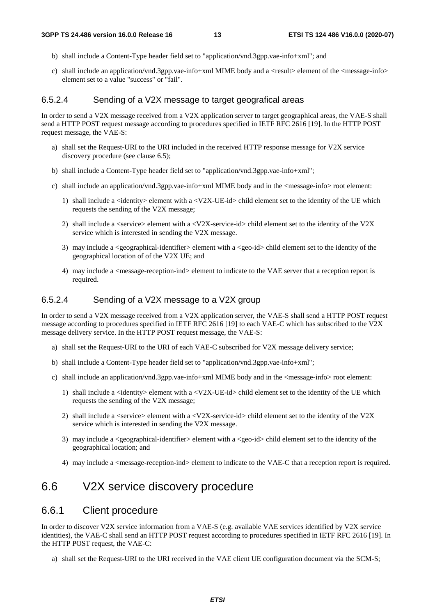- b) shall include a Content-Type header field set to "application/vnd.3gpp.vae-info+xml"; and
- c) shall include an application/vnd.3gpp.vae-info+xml MIME body and a  $\langle$ result $\rangle$  element of the  $\langle$ message-info $\rangle$ element set to a value "success" or "fail".

#### 6.5.2.4 Sending of a V2X message to target geografical areas

In order to send a V2X message received from a V2X application server to target geographical areas, the VAE-S shall send a HTTP POST request message according to procedures specified in IETF RFC 2616 [19]. In the HTTP POST request message, the VAE-S:

- a) shall set the Request-URI to the URI included in the received HTTP response message for V2X service discovery procedure (see clause 6.5);
- b) shall include a Content-Type header field set to "application/vnd.3gpp.vae-info+xml";
- c) shall include an application/vnd.3gpp.vae-info+xml MIME body and in the <message-info> root element:
	- 1) shall include a  $\le$ identity  $>$  element with a  $\le$ V2X-UE-id $>$  child element set to the identity of the UE which requests the sending of the V2X message;
	- 2) shall include a  $\le$ service $>$  element with a  $\le$ V2X-service-id $>$  child element set to the identity of the V2X service which is interested in sending the V2X message.
	- 3) may include a  $\leq$ geographical-identifier $>$  element with a  $\leq$ geo-id $>$  child element set to the identity of the geographical location of of the V2X UE; and
	- 4) may include a <message-reception-ind> element to indicate to the VAE server that a reception report is required.

#### 6.5.2.4 Sending of a V2X message to a V2X group

In order to send a V2X message received from a V2X application server, the VAE-S shall send a HTTP POST request message according to procedures specified in IETF RFC 2616 [19] to each VAE-C which has subscribed to the V2X message delivery service. In the HTTP POST request message, the VAE-S:

- a) shall set the Request-URI to the URI of each VAE-C subscribed for V2X message delivery service;
- b) shall include a Content-Type header field set to "application/vnd.3gpp.vae-info+xml";
- c) shall include an application/vnd.3gpp.vae-info+xml MIME body and in the <message-info> root element:
	- 1) shall include a  $\alpha$  identity element with a  $\alpha$ V2X-UE-id  $\beta$  child element set to the identity of the UE which requests the sending of the V2X message;
	- 2) shall include a  $\le$ service $\ge$  element with a  $\le$ V2X-service-id $\ge$  child element set to the identity of the V2X service which is interested in sending the V2X message.
	- 3) may include a <geographical-identifier> element with a <geo-id> child element set to the identity of the geographical location; and
	- 4) may include a <message-reception-ind> element to indicate to the VAE-C that a reception report is required.

### 6.6 V2X service discovery procedure

#### 6.6.1 Client procedure

In order to discover V2X service information from a VAE-S (e.g. available VAE services identified by V2X service identities), the VAE-C shall send an HTTP POST request according to procedures specified in IETF RFC 2616 [19]. In the HTTP POST request, the VAE-C:

a) shall set the Request-URI to the URI received in the VAE client UE configuration document via the SCM-S;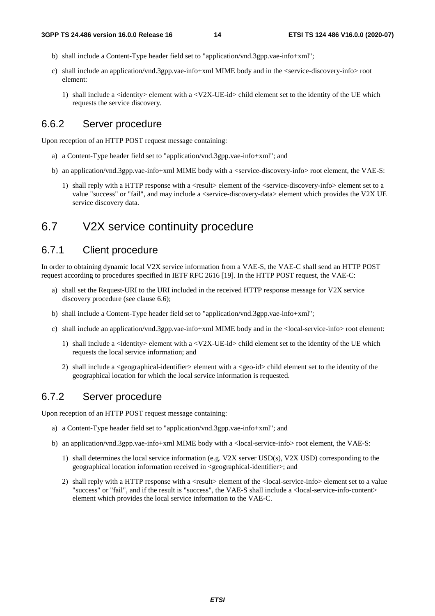- b) shall include a Content-Type header field set to "application/vnd.3gpp.vae-info+xml";
- c) shall include an application/vnd.3gpp.vae-info+xml MIME body and in the <service-discovery-info> root element:
	- 1) shall include a  $\le$ identity $>$  element with a  $\le$ V2X-UE-id $>$  child element set to the identity of the UE which requests the service discovery.

#### 6.6.2 Server procedure

Upon reception of an HTTP POST request message containing:

- a) a Content-Type header field set to "application/vnd.3gpp.vae-info+xml"; and
- b) an application/vnd.3gpp.vae-info+xml MIME body with a <service-discovery-info> root element, the VAE-S:
	- 1) shall reply with a HTTP response with a <result> element of the <service-discovery-info> element set to a value "success" or "fail", and may include a <service-discovery-data> element which provides the V2X UE service discovery data.

### 6.7 V2X service continuity procedure

#### 6.7.1 Client procedure

In order to obtaining dynamic local V2X service information from a VAE-S, the VAE-C shall send an HTTP POST request according to procedures specified in IETF RFC 2616 [19]. In the HTTP POST request, the VAE-C:

- a) shall set the Request-URI to the URI included in the received HTTP response message for V2X service discovery procedure (see clause 6.6);
- b) shall include a Content-Type header field set to "application/vnd.3gpp.vae-info+xml";
- c) shall include an application/vnd.3gpp.vae-info+xml MIME body and in the <local-service-info> root element:
	- 1) shall include a  $\le$ identity $>$  element with a  $\le$ V2X-UE-id $>$  child element set to the identity of the UE which requests the local service information; and
	- 2) shall include a <geographical-identifier> element with a <geo-id> child element set to the identity of the geographical location for which the local service information is requested.

### 6.7.2 Server procedure

Upon reception of an HTTP POST request message containing:

- a) a Content-Type header field set to "application/vnd.3gpp.vae-info+xml"; and
- b) an application/vnd.3gpp.vae-info+xml MIME body with a <local-service-info> root element, the VAE-S:
	- 1) shall determines the local service information (e.g. V2X server USD(s), V2X USD) corresponding to the geographical location information received in <geographical-identifier>; and
	- 2) shall reply with a HTTP response with a  $\langle$ result $\rangle$  element of the  $\langle$ local-service-info $\rangle$  element set to a value "success" or "fail", and if the result is "success", the VAE-S shall include a <local-service-info-content> element which provides the local service information to the VAE-C.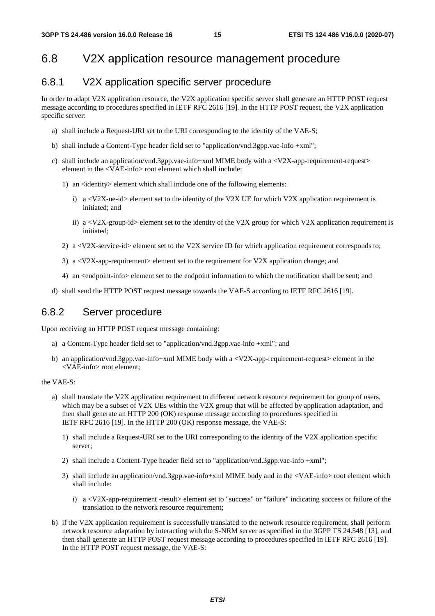### 6.8 V2X application resource management procedure

#### 6.8.1 V2X application specific server procedure

In order to adapt V2X application resource, the V2X application specific server shall generate an HTTP POST request message according to procedures specified in IETF RFC 2616 [19]. In the HTTP POST request, the V2X application specific server:

- a) shall include a Request-URI set to the URI corresponding to the identity of the VAE-S;
- b) shall include a Content-Type header field set to "application/vnd.3gpp.vae-info +xml";
- c) shall include an application/vnd.3gpp.vae-info+xml MIME body with a  $\langle V2X$ -app-requirement-request> element in the <VAE-info> root element which shall include:
	- 1) an <identity> element which shall include one of the following elements:
		- i) a  $\langle V2X$ -ue-id> element set to the identity of the V2X UE for which V2X application requirement is initiated; and
		- ii) a  $\langle V2X\text{-group-id}\rangle$  element set to the identity of the V2X group for which V2X application requirement is initiated;
	- 2) a  $\langle V2X\text{-}service-id\rangle$  element set to the V2X service ID for which application requirement corresponds to;
	- 3) a  $\langle V2X$ -app-requirement set to the requirement for V2X application change; and
	- 4) an <endpoint-info> element set to the endpoint information to which the notification shall be sent; and
- d) shall send the HTTP POST request message towards the VAE-S according to IETF RFC 2616 [19].

### 6.8.2 Server procedure

Upon receiving an HTTP POST request message containing:

- a) a Content-Type header field set to "application/vnd.3gpp.vae-info +xml"; and
- b) an application/vnd.3gpp.vae-info+xml MIME body with a  $\langle V2X$ -app-requirement-request> element in the <VAE-info> root element;

the VAE-S:

- a) shall translate the V2X application requirement to different network resource requirement for group of users, which may be a subset of V2X UEs within the V2X group that will be affected by application adaptation, and then shall generate an HTTP 200 (OK) response message according to procedures specified in IETF RFC 2616 [19]. In the HTTP 200 (OK) response message, the VAE-S:
	- 1) shall include a Request-URI set to the URI corresponding to the identity of the V2X application specific server;
	- 2) shall include a Content-Type header field set to "application/vnd.3gpp.vae-info +xml";
	- 3) shall include an application/vnd.3gpp.vae-info+xml MIME body and in the <VAE-info> root element which shall include:
		- i) a <V2X-app-requirement -result> element set to "success" or "failure" indicating success or failure of the translation to the network resource requirement;
- b) if the V2X application requirement is successfully translated to the network resource requirement, shall perform network resource adaptation by interacting with the S-NRM server as specified in the 3GPP TS 24.548 [13], and then shall generate an HTTP POST request message according to procedures specified in IETF RFC 2616 [19]. In the HTTP POST request message, the VAE-S: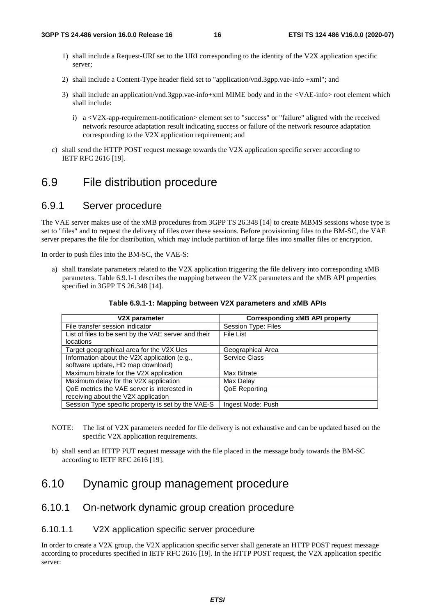- 1) shall include a Request-URI set to the URI corresponding to the identity of the V2X application specific server;
- 2) shall include a Content-Type header field set to "application/vnd.3gpp.vae-info +xml"; and
- 3) shall include an application/vnd.3gpp.vae-info+xml MIME body and in the <VAE-info> root element which shall include:
	- i) a <V2X-app-requirement-notification> element set to "success" or "failure" aligned with the received network resource adaptation result indicating success or failure of the network resource adaptation corresponding to the V2X application requirement; and
- c) shall send the HTTP POST request message towards the V2X application specific server according to IETF RFC 2616 [19].

### 6.9 File distribution procedure

### 6.9.1 Server procedure

The VAE server makes use of the xMB procedures from 3GPP TS 26.348 [14] to create MBMS sessions whose type is set to "files" and to request the delivery of files over these sessions. Before provisioning files to the BM-SC, the VAE server prepares the file for distribution, which may include partition of large files into smaller files or encryption.

In order to push files into the BM-SC, the VAE-S:

a) shall translate parameters related to the V2X application triggering the file delivery into corresponding xMB parameters. Table 6.9.1-1 describes the mapping between the V2X parameters and the xMB API properties specified in 3GPP TS 26.348 [14].

| V2X parameter                                        | <b>Corresponding xMB API property</b> |
|------------------------------------------------------|---------------------------------------|
| File transfer session indicator                      | Session Type: Files                   |
| List of files to be sent by the VAE server and their | File List                             |
| locations                                            |                                       |
| Target geographical area for the V2X Ues             | Geographical Area                     |
| Information about the V2X application (e.g.,         | Service Class                         |
| software update, HD map download)                    |                                       |
| Maximum bitrate for the V2X application              | Max Bitrate                           |
| Maximum delay for the V2X application                | Max Delay                             |
| QoE metrics the VAE server is interested in          | QoE Reporting                         |
| receiving about the V2X application                  |                                       |
| Session Type specific property is set by the VAE-S   | Ingest Mode: Push                     |

#### **Table 6.9.1-1: Mapping between V2X parameters and xMB APIs**

- NOTE: The list of V2X parameters needed for file delivery is not exhaustive and can be updated based on the specific V2X application requirements.
- b) shall send an HTTP PUT request message with the file placed in the message body towards the BM-SC according to IETF RFC 2616 [19].

### 6.10 Dynamic group management procedure

#### 6.10.1 On-network dynamic group creation procedure

#### 6.10.1.1 V2X application specific server procedure

In order to create a V2X group, the V2X application specific server shall generate an HTTP POST request message according to procedures specified in IETF RFC 2616 [19]. In the HTTP POST request, the V2X application specific server: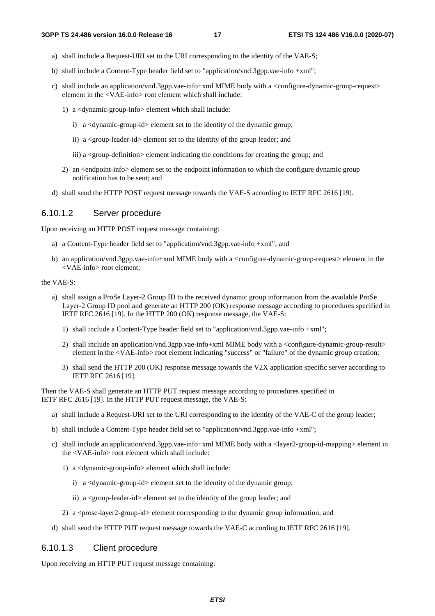- a) shall include a Request-URI set to the URI corresponding to the identity of the VAE-S;
- b) shall include a Content-Type header field set to "application/vnd.3gpp.vae-info +xml";
- c) shall include an application/vnd.3gpp.vae-info+xml MIME body with a <configure-dynamic-group-request> element in the <VAE-info> root element which shall include:
	- 1) a <dynamic-group-info> element which shall include:
		- i) a <dynamic-group-id> element set to the identity of the dynamic group;
		- ii) a <group-leader-id> element set to the identity of the group leader; and
		- iii) a <group-definition> element indicating the conditions for creating the group; and
	- 2) an <endpoint-info> element set to the endpoint information to which the configure dynamic group notification has to be sent; and
- d) shall send the HTTP POST request message towards the VAE-S according to IETF RFC 2616 [19].

#### 6.10.1.2 Server procedure

Upon receiving an HTTP POST request message containing:

- a) a Content-Type header field set to "application/vnd.3gpp.vae-info +xml"; and
- b) an application/vnd.3gpp.vae-info+xml MIME body with a <configure-dynamic-group-request> element in the <VAE-info> root element;

the VAE-S:

- a) shall assign a ProSe Layer-2 Group ID to the received dynamic group information from the available ProSe Layer-2 Group ID pool and generate an HTTP 200 (OK) response message according to procedures specified in IETF RFC 2616 [19]. In the HTTP 200 (OK) response message, the VAE-S:
	- 1) shall include a Content-Type header field set to "application/vnd.3gpp.vae-info +xml";
	- 2) shall include an application/vnd.3gpp.vae-info+xml MIME body with a <configure-dynamic-group-result> element in the <VAE-info> root element indicating "success" or "failure" of the dynamic group creation;
	- 3) shall send the HTTP 200 (OK) response message towards the V2X application specific server according to IETF RFC 2616 [19].

Then the VAE-S shall generate an HTTP PUT request message according to procedures specified in IETF RFC 2616 [19]. In the HTTP PUT request message, the VAE-S:

- a) shall include a Request-URI set to the URI corresponding to the identity of the VAE-C of the group leader;
- b) shall include a Content-Type header field set to "application/vnd.3gpp.vae-info +xml";
- c) shall include an application/vnd.3gpp.vae-info+xml MIME body with a <layer2-group-id-mapping> element in the <VAE-info> root element which shall include:
	- 1) a <dynamic-group-info> element which shall include:
		- i) a <dynamic-group-id> element set to the identity of the dynamic group;
		- ii) a <group-leader-id> element set to the identity of the group leader; and
	- 2) a  $\langle$ prose-layer2-group-id $>$ element corresponding to the dynamic group information; and
- d) shall send the HTTP PUT request message towards the VAE-C according to IETF RFC 2616 [19].

#### 6.10.1.3 Client procedure

Upon receiving an HTTP PUT request message containing: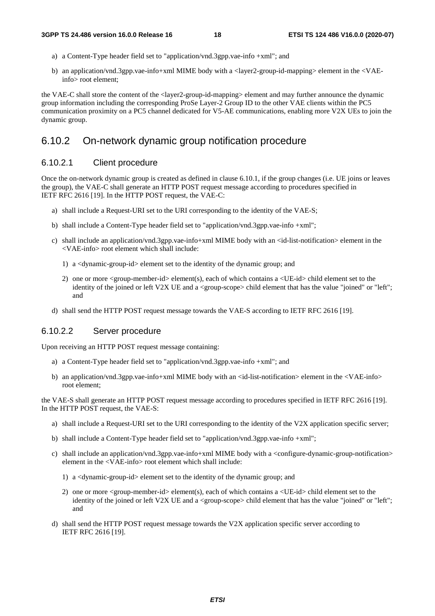- a) a Content-Type header field set to "application/vnd.3gpp.vae-info +xml"; and
- b) an application/vnd.3gpp.vae-info+xml MIME body with a <layer2-group-id-mapping> element in the <VAEinfo> root element;

the VAE-C shall store the content of the <layer2-group-id-mapping> element and may further announce the dynamic group information including the corresponding ProSe Layer-2 Group ID to the other VAE clients within the PC5 communication proximity on a PC5 channel dedicated for V5-AE communications, enabling more V2X UEs to join the dynamic group.

#### 6.10.2 On-network dynamic group notification procedure

#### 6.10.2.1 Client procedure

Once the on-network dynamic group is created as defined in clause 6.10.1, if the group changes (i.e. UE joins or leaves the group), the VAE-C shall generate an HTTP POST request message according to procedures specified in IETF RFC 2616 [19]. In the HTTP POST request, the VAE-C:

- a) shall include a Request-URI set to the URI corresponding to the identity of the VAE-S;
- b) shall include a Content-Type header field set to "application/vnd.3gpp.vae-info +xml";
- c) shall include an application/vnd.3gpp.vae-info+xml MIME body with an <id-list-notification> element in the <VAE-info> root element which shall include:
	- 1) a <dynamic-group-id> element set to the identity of the dynamic group; and
	- 2) one or more <group-member-id> element(s), each of which contains a <UE-id> child element set to the identity of the joined or left V2X UE and a <group-scope> child element that has the value "joined" or "left"; and
- d) shall send the HTTP POST request message towards the VAE-S according to IETF RFC 2616 [19].

#### 6.10.2.2 Server procedure

Upon receiving an HTTP POST request message containing:

- a) a Content-Type header field set to "application/vnd.3gpp.vae-info +xml"; and
- b) an application/vnd.3gpp.vae-info+xml MIME body with an <id-list-notification> element in the <VAE-info> root element;

the VAE-S shall generate an HTTP POST request message according to procedures specified in IETF RFC 2616 [19]. In the HTTP POST request, the VAE-S:

- a) shall include a Request-URI set to the URI corresponding to the identity of the V2X application specific server;
- b) shall include a Content-Type header field set to "application/vnd.3gpp.vae-info +xml";
- c) shall include an application/vnd.3gpp.vae-info+xml MIME body with a  $\alpha$  configure-dynamic-group-notification> element in the <VAE-info> root element which shall include:
	- 1) a <dynamic-group-id> element set to the identity of the dynamic group; and
	- 2) one or more <group-member-id> element(s), each of which contains a <UE-id> child element set to the identity of the joined or left V2X UE and a <group-scope> child element that has the value "joined" or "left"; and
- d) shall send the HTTP POST request message towards the V2X application specific server according to IETF RFC 2616 [19].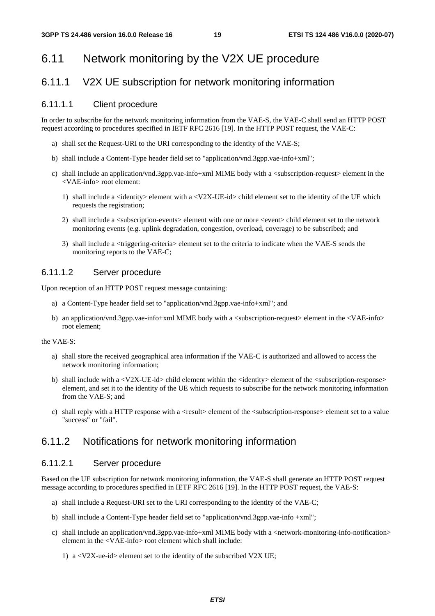## 6.11 Network monitoring by the V2X UE procedure

### 6.11.1 V2X UE subscription for network monitoring information

#### 6.11.1.1 Client procedure

In order to subscribe for the network monitoring information from the VAE-S, the VAE-C shall send an HTTP POST request according to procedures specified in IETF RFC 2616 [19]. In the HTTP POST request, the VAE-C:

- a) shall set the Request-URI to the URI corresponding to the identity of the VAE-S;
- b) shall include a Content-Type header field set to "application/vnd.3gpp.vae-info+xml";
- c) shall include an application/vnd.3gpp.vae-info+xml MIME body with a <subscription-request> element in the <VAE-info> root element:
	- 1) shall include a  $\le$ identity  $>$  element with a  $\le$ V2X-UE-id $>$  child element set to the identity of the UE which requests the registration;
	- 2) shall include a <subscription-events> element with one or more <event> child element set to the network monitoring events (e.g. uplink degradation, congestion, overload, coverage) to be subscribed; and
	- 3) shall include a <triggering-criteria> element set to the criteria to indicate when the VAE-S sends the monitoring reports to the VAE-C;

#### 6.11.1.2 Server procedure

Upon reception of an HTTP POST request message containing:

- a) a Content-Type header field set to "application/vnd.3gpp.vae-info+xml"; and
- b) an application/vnd.3gpp.vae-info+xml MIME body with a <subscription-request> element in the <VAE-info> root element;

#### the VAE-S:

- a) shall store the received geographical area information if the VAE-C is authorized and allowed to access the network monitoring information;
- b) shall include with a <V2X-UE-id> child element within the <identity> element of the <subscription-response> element, and set it to the identity of the UE which requests to subscribe for the network monitoring information from the VAE-S; and
- c) shall reply with a HTTP response with a <result> element of the <subscription-response> element set to a value "success" or "fail".

### 6.11.2 Notifications for network monitoring information

#### 6.11.2.1 Server procedure

Based on the UE subscription for network monitoring information, the VAE-S shall generate an HTTP POST request message according to procedures specified in IETF RFC 2616 [19]. In the HTTP POST request, the VAE-S:

- a) shall include a Request-URI set to the URI corresponding to the identity of the VAE-C;
- b) shall include a Content-Type header field set to "application/vnd.3gpp.vae-info +xml";
- c) shall include an application/vnd.3gpp.vae-info+xml MIME body with a <network-monitoring-info-notification> element in the <VAE-info> root element which shall include:
	- 1) a <V2X-ue-id> element set to the identity of the subscribed V2X UE;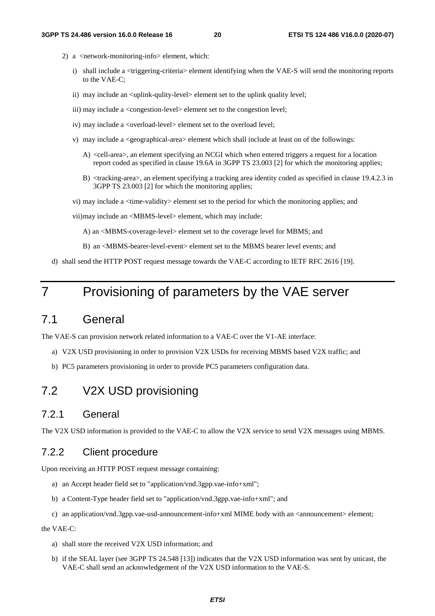- 2) a <network-monitoring-info> element, which:
	- i) shall include a <triggering-criteria> element identifying when the VAE-S will send the monitoring reports to the VAE-C;
	- ii) may include an <uplink-qulity-level> element set to the uplink quality level;
	- iii) may include a <congestion-level> element set to the congestion level;
	- iv) may include a <overload-level> element set to the overload level;
	- v) may include a <geographical-area> element which shall include at least on of the followings:
		- A) <cell-area>, an element specifying an NCGI which when entered triggers a request for a location report coded as specified in clause 19.6A in 3GPP TS 23.003 [2] for which the monitoring applies;
		- B) <tracking-area>, an element specifying a tracking area identity coded as specified in clause 19.4.2.3 in 3GPP TS 23.003 [2] for which the monitoring applies;
	- vi) may include a <time-validity> element set to the period for which the monitoring applies; and
	- vii) may include an <MBMS-level> element, which may include:
		- A) an <MBMS-coverage-level> element set to the coverage level for MBMS; and
		- B) an <MBMS-bearer-level-event> element set to the MBMS bearer level events; and
- d) shall send the HTTP POST request message towards the VAE-C according to IETF RFC 2616 [19].

# 7 Provisioning of parameters by the VAE server

### 7.1 General

The VAE-S can provision network related information to a VAE-C over the V1-AE interface:

- a) V2X USD provisioning in order to provision V2X USDs for receiving MBMS based V2X traffic; and
- b) PC5 parameters provisioning in order to provide PC5 parameters configuration data.

### 7.2 V2X USD provisioning

#### 7.2.1 General

The V2X USD information is provided to the VAE-C to allow the V2X service to send V2X messages using MBMS.

### 7.2.2 Client procedure

Upon receiving an HTTP POST request message containing:

- a) an Accept header field set to "application/vnd.3gpp.vae-info+xml";
- b) a Content-Type header field set to "application/vnd.3gpp.vae-info+xml"; and
- c) an application/vnd.3gpp.vae-usd-announcement-info+xml MIME body with an <announcement> element;

#### the VAE-C:

- a) shall store the received V2X USD information; and
- b) if the SEAL layer (see 3GPP TS 24.548 [13]) indicates that the V2X USD information was sent by unicast, the VAE-C shall send an acknowledgement of the V2X USD information to the VAE-S.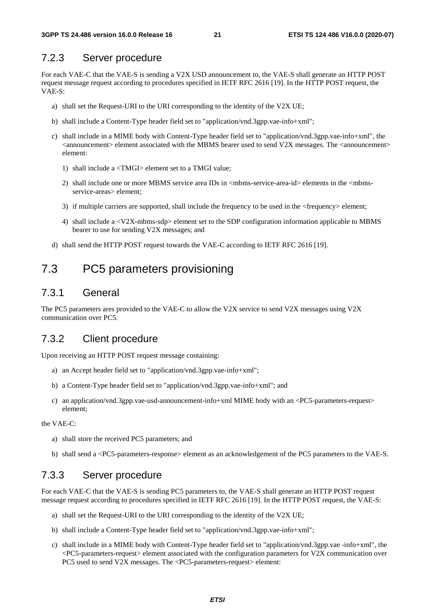#### 7.2.3 Server procedure

For each VAE-C that the VAE-S is sending a V2X USD announcement to, the VAE-S shall generate an HTTP POST request message request according to procedures specified in IETF RFC 2616 [19]. In the HTTP POST request, the VAE-S:

- a) shall set the Request-URI to the URI corresponding to the identity of the V2X UE;
- b) shall include a Content-Type header field set to "application/vnd.3gpp.vae-info+xml";
- c) shall include in a MIME body with Content-Type header field set to "application/vnd.3gpp.vae-info+xml", the  $\alpha$  <announcement> element associated with the MBMS bearer used to send V2X messages. The  $\alpha$  announcement> element:
	- 1) shall include a <TMGI> element set to a TMGI value;
	- 2) shall include one or more MBMS service area IDs in  $\langle$  mbms-service-area-id> elements in the  $\langle$ mbmsservice-areas > element;
	- 3) if multiple carriers are supported, shall include the frequency to be used in the <frequency> element;
	- 4) shall include a <V2X-mbms-sdp> element set to the SDP configuration information applicable to MBMS bearer to use for sending V2X messages; and
- d) shall send the HTTP POST request towards the VAE-C according to IETF RFC 2616 [19].

### 7.3 PC5 parameters provisioning

### 7.3.1 General

The PC5 parameters ares provided to the VAE-C to allow the V2X service to send V2X messages using V2X communication over PC5.

#### 7.3.2 Client procedure

Upon receiving an HTTP POST request message containing:

- a) an Accept header field set to "application/vnd.3gpp.vae-info+xml";
- b) a Content-Type header field set to "application/vnd.3gpp.vae-info+xml"; and
- c) an application/vnd.3gpp.vae-usd-announcement-info+xml MIME body with an <PC5-parameters-request> element;

the VAE-C:

- a) shall store the received PC5 parameters; and
- b) shall send a <PC5-parameters-response> element as an acknowledgement of the PC5 parameters to the VAE-S.

#### 7.3.3 Server procedure

For each VAE-C that the VAE-S is sending PC5 parameters to, the VAE-S shall generate an HTTP POST request message request according to procedures specified in IETF RFC 2616 [19]. In the HTTP POST request, the VAE-S:

- a) shall set the Request-URI to the URI corresponding to the identity of the V2X UE;
- b) shall include a Content-Type header field set to "application/vnd.3gpp.vae-info+xml";
- c) shall include in a MIME body with Content-Type header field set to "application/vnd.3gpp.vae -info+xml", the <PC5-parameters-request> element associated with the configuration parameters for V2X communication over PC5 used to send V2X messages. The <PC5-parameters-request> element: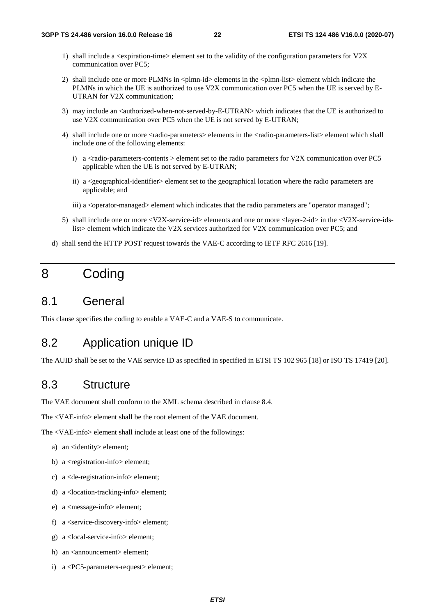- 1) shall include a <expiration-time> element set to the validity of the configuration parameters for V2X communication over PC5;
- 2) shall include one or more PLMNs in <plmn-id> elements in the <plmn-list> element which indicate the PLMNs in which the UE is authorized to use V2X communication over PC5 when the UE is served by E-UTRAN for V2X communication;
- 3) may include an <authorized-when-not-served-by-E-UTRAN> which indicates that the UE is authorized to use V2X communication over PC5 when the UE is not served by E-UTRAN;
- 4) shall include one or more <radio-parameters> elements in the <radio-parameters-list> element which shall include one of the following elements:
	- i) a  $\le$ radio-parameters-contents  $>$  element set to the radio parameters for V2X communication over PC5 applicable when the UE is not served by E-UTRAN;
	- ii) a <geographical-identifier> element set to the geographical location where the radio parameters are applicable; and
	- iii) a <operator-managed> element which indicates that the radio parameters are "operator managed";
- 5) shall include one or more <V2X-service-id> elements and one or more <layer-2-id> in the <V2X-service-idslist> element which indicate the V2X services authorized for V2X communication over PC5; and
- d) shall send the HTTP POST request towards the VAE-C according to IETF RFC 2616 [19].

# 8 Coding

### 8.1 General

This clause specifies the coding to enable a VAE-C and a VAE-S to communicate.

### 8.2 Application unique ID

The AUID shall be set to the VAE service ID as specified in specified in ETSI TS 102 965 [18] or ISO TS 17419 [20].

### 8.3 Structure

The VAE document shall conform to the XML schema described in clause 8.4.

The <VAE-info> element shall be the root element of the VAE document.

The <VAE-info> element shall include at least one of the followings:

- a) an <identity> element;
- b) a <registration-info> element;
- c) a <de-registration-info> element;
- d) a <location-tracking-info> element;
- e) a <message-info> element;
- f) a <service-discovery-info> element;
- g) a <local-service-info> element;
- h) an <announcement> element;
- i) a <PC5-parameters-request> element;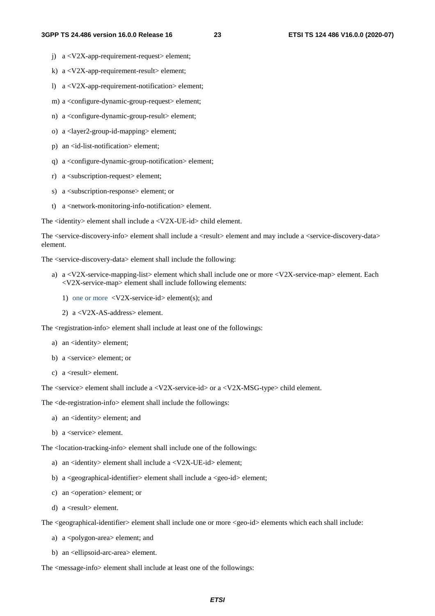- j) a <V2X-app-requirement-request> element;
- k) a <V2X-app-requirement-result> element;
- l) a <V2X-app-requirement-notification> element;
- m) a <configure-dynamic-group-request> element;
- n) a <configure-dynamic-group-result> element;
- o) a <layer2-group-id-mapping> element;
- p) an <id-list-notification> element;
- q) a <configure-dynamic-group-notification> element;
- r) a <subscription-request> element;
- s) a <subscription-response> element; or
- t) a <network-monitoring-info-notification> element.

The <identity> element shall include a <V2X-UE-id> child element.

The <service-discovery-info> element shall include a <result> element and may include a <service-discovery-data> element.

The <service-discovery-data> element shall include the following:

- a) a <V2X-service-mapping-list> element which shall include one or more <V2X-service-map> element. Each <V2X-service-map> element shall include following elements:
	- 1) one or more  $\langle V2X\text{-}service-id \rangle$  element(s); and
	- 2) a <V2X-AS-address> element.

The <registration-info> element shall include at least one of the followings:

- a) an <identity> element:
- b) a <service> element; or
- c) a <result> element.

The <service> element shall include a <V2X-service-id> or a <V2X-MSG-type> child element.

The <de-registration-info> element shall include the followings:

- a) an <identity> element; and
- b) a <service> element.

The <location-tracking-info> element shall include one of the followings:

- a) an <identity> element shall include a <V2X-UE-id> element;
- b) a  $\leq$ geographical-identifier  $\geq$  element shall include a  $\leq$ geo-id $\geq$  element;
- c) an <operation> element; or
- d) a <result> element.

The <geographical-identifier> element shall include one or more <geo-id> elements which each shall include:

- a) a <polygon-area> element; and
- b) an <ellipsoid-arc-area> element.

The  $\langle$  message-info $\rangle$  element shall include at least one of the followings: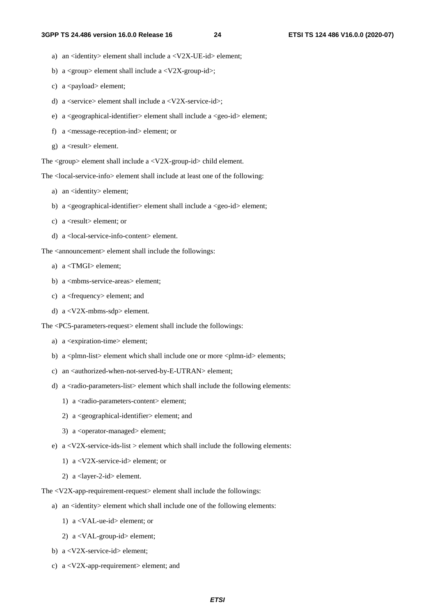- a) an <identity> element shall include a <V2X-UE-id> element;
- b) a  $\langle$ group> element shall include a  $\langle$ V2X-group-id>;
- c) a  $\langle$  payload $\rangle$  element;
- d) a  $\langle$ service $\rangle$ element shall include a  $\langle$ V2X-service-id $\rangle$ ;
- e) a <geographical-identifier> element shall include a <geo-id> element;
- f) a <message-reception-ind> element; or
- g) a <result> element.

The <group> element shall include a <V2X-group-id> child element.

The <local-service-info> element shall include at least one of the following:

- a) an <identity> element;
- b) a <geographical-identifier> element shall include a <geo-id> element;
- c) a <result> element; or
- d) a <local-service-info-content> element.

The <announcement> element shall include the followings:

- a) a <TMGI> element;
- b) a <mbms-service-areas> element;
- c) a <frequency> element; and
- d) a <V2X-mbms-sdp> element.

The <PC5-parameters-request> element shall include the followings:

- a) a <expiration-time> element;
- b) a  $\langle$ plmn-list $>$  element which shall include one or more  $\langle$ plmn-id $>$  elements;
- c) an <authorized-when-not-served-by-E-UTRAN> element;
- d) a <radio-parameters-list> element which shall include the following elements:
	- 1) a <radio-parameters-content> element;
	- 2) a <geographical-identifier> element; and
	- 3) a <operator-managed> element;
- e) a  $\langle V2X\text{-}service\text{-}ids\text{-}list \rangle$  element which shall include the following elements:
	- 1) a <V2X-service-id> element; or
	- 2) a <layer-2-id> element.

The <V2X-app-requirement-request> element shall include the followings:

- a) an <identity> element which shall include one of the following elements:
	- 1) a <VAL-ue-id> element; or
	- 2) a <VAL-group-id> element;
- b) a <V2X-service-id> element;
- c) a <V2X-app-requirement> element; and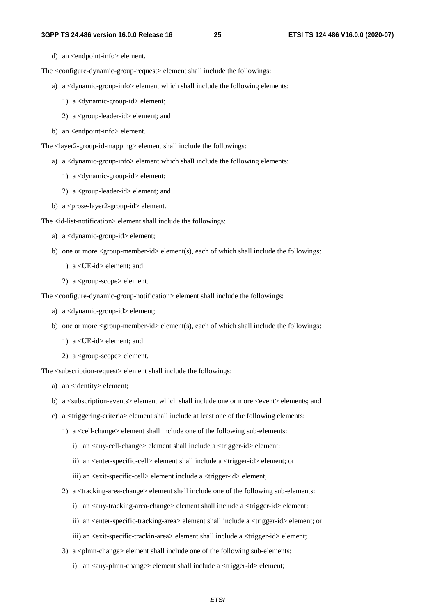d) an <endpoint-info> element.

The <configure-dynamic-group-request> element shall include the followings:

- a) a <dynamic-group-info> element which shall include the following elements:
	- 1) a <dynamic-group-id> element;
	- 2) a <group-leader-id> element; and
- b) an <endpoint-info> element.

The <layer2-group-id-mapping> element shall include the followings:

- a) a <dynamic-group-info> element which shall include the following elements:
	- 1) a <dynamic-group-id> element;
	- 2) a <group-leader-id> element; and
- b) a <prose-layer2-group-id> element.

The <id-list-notification> element shall include the followings:

- a) a <dynamic-group-id> element;
- b) one or more <group-member-id> element(s), each of which shall include the followings:
	- 1) a <UE-id> element; and
	- 2) a <group-scope> element.

The <configure-dynamic-group-notification> element shall include the followings:

- a) a <dynamic-group-id> element;
- b) one or more  $\langle$ group-member-id $>$ element(s), each of which shall include the followings:
	- 1) a <UE-id> element; and
	- 2) a <group-scope> element.

The <subscription-request> element shall include the followings:

- a) an <identity> element;
- b) a <subscription-events> element which shall include one or more <event> elements; and
- c) a <triggering-criteria> element shall include at least one of the following elements:
	- 1) a <cell-change> element shall include one of the following sub-elements:
		- i) an <any-cell-change> element shall include a <trigger-id> element;
		- ii) an <enter-specific-cell> element shall include a <trigger-id> element; or
		- iii) an <exit-specific-cell> element include a <trigger-id> element;
	- 2) a <tracking-area-change> element shall include one of the following sub-elements:
		- i) an <any-tracking-area-change> element shall include a <trigger-id> element;
		- ii) an <enter-specific-tracking-area> element shall include a <trigger-id> element; or
		- iii) an <exit-specific-trackin-area> element shall include a <trigger-id> element;
	- 3) a  $\langle$ plmn-change $\rangle$  element shall include one of the following sub-elements:
		- i) an <any-plmn-change> element shall include a <trigger-id> element;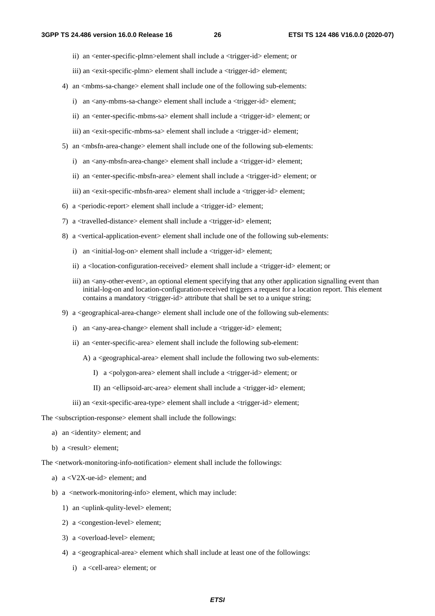- ii) an <enter-specific-plmn>element shall include a <trigger-id> element; or
- iii) an <exit-specific-plmn> element shall include a <trigger-id> element;
- 4) an  $\langle$ mbms-sa-change> element shall include one of the following sub-elements:
	- i) an <any-mbms-sa-change> element shall include a <trigger-id> element;
	- ii) an <enter-specific-mbms-sa> element shall include a <trigger-id> element; or
	- iii) an <exit-specific-mbms-sa> element shall include a <trigger-id> element;
- 5) an <mbsfn-area-change> element shall include one of the following sub-elements:
	- i) an <any-mbsfn-area-change> element shall include a <trigger-id> element;
	- ii) an <enter-specific-mbsfn-area> element shall include a <trigger-id> element; or
	- iii) an <exit-specific-mbsfn-area> element shall include a <trigger-id> element;
- 6) a  $\epsilon$  speriodic-report belement shall include a  $\epsilon$  trigger-id belement;
- 7) a <travelled-distance> element shall include a <trigger-id> element;
- 8) a <vertical-application-event> element shall include one of the following sub-elements:
	- i) an <initial-log-on> element shall include a <trigger-id> element;
	- ii) a <location-configuration-received> element shall include a <trigger-id> element; or
	- iii) an  $\alpha$ -any-other-event  $\alpha$ , an optional element specifying that any other application signalling event than initial-log-on and location-configuration-received triggers a request for a location report. This element contains a mandatory <trigger-id> attribute that shall be set to a unique string;
- 9) a <geographical-area-change> element shall include one of the following sub-elements:
	- i) an <any-area-change> element shall include a <trigger-id> element;
	- ii) an <enter-specific-area> element shall include the following sub-element:
		- A) a <geographical-area> element shall include the following two sub-elements:
			- I) a <polygon-area> element shall include a <trigger-id> element; or
			- II) an <ellipsoid-arc-area> element shall include a <trigger-id> element;
	- iii) an <exit-specific-area-type> element shall include a <trigger-id> element;

The <subscription-response> element shall include the followings:

- a) an <identity> element; and
- b) a <result> element;

The <network-monitoring-info-notification> element shall include the followings:

- a) a <V2X-ue-id> element; and
- b) a <network-monitoring-info> element, which may include:
	- 1) an <uplink-qulity-level> element;
	- 2) a <congestion-level> element;
	- 3) a <overload-level> element;
	- 4) a <geographical-area> element which shall include at least one of the followings:
		- i) a <cell-area> element; or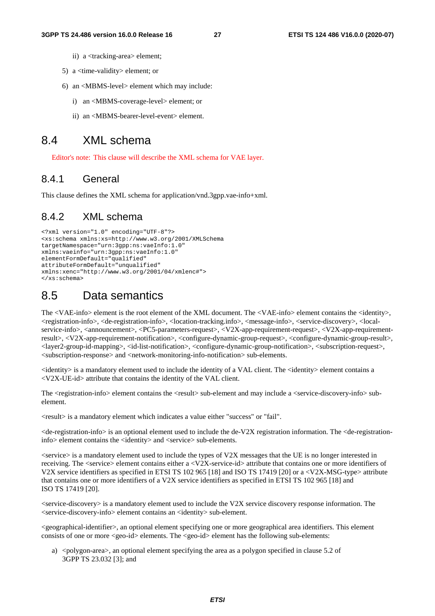- ii) a <tracking-area> element;
- 5) a <time-validity> element; or
- 6) an <MBMS-level> element which may include:
	- i) an <MBMS-coverage-level> element; or
	- ii) an <MBMS-bearer-level-event> element.

### 8.4 XML schema

Editor's note: This clause will describe the XML schema for VAE layer.

#### 8.4.1 General

This clause defines the XML schema for application/vnd.3gpp.vae-info+xml.

#### 8.4.2 XML schema

```
<?xml version="1.0" encoding="UTF-8"?> 
<xs:schema xmlns:xs=http://www.w3.org/2001/XMLSchema 
targetNamespace="urn:3gpp:ns:vaeInfo:1.0" 
xmlns:vaeinfo="urn:3gpp:ns:vaeInfo:1.0" 
elementFormDefault="qualified" 
attributeFormDefault="unqualified" 
xmlns:xenc="http://www.w3.org/2001/04/xmlenc#"> 
</xs:schema>
```
### 8.5 Data semantics

The <VAE-info> element is the root element of the XML document. The <VAE-info> element contains the <identity>, <registration-info>, <de-registration-info>, <location-tracking.info>, <message-info>, <service-discovery>, <localservice-info>, <announcement>, <PC5-parameters-request>, <V2X-app-requirement-request>, <V2X-app-requirementresult>, <V2X-app-requirement-notification>, <configure-dynamic-group-request>, <configure-dynamic-group-result>, <layer2-group-id-mapping>, <id-list-notification>, <configure-dynamic-group-notification>, <subscription-request>, <subscription-response> and <network-monitoring-info-notification> sub-elements.

 $\le$ identity> is a mandatory element used to include the identity of a VAL client. The  $\le$ identity> element contains a <V2X-UE-id> attribute that contains the identity of the VAL client.

The <registration-info> element contains the <result> sub-element and may include a <service-discovery-info> subelement.

<result> is a mandatory element which indicates a value either "success" or "fail".

<de-registration-info> is an optional element used to include the de-V2X registration information. The <de-registrationinfo> element contains the <identity> and <service> sub-elements.

<service> is a mandatory element used to include the types of V2X messages that the UE is no longer interested in receiving. The <service> element contains either a <V2X-service-id> attribute that contains one or more identifiers of V2X service identifiers as specified in ETSI TS 102 965 [18] and ISO TS 17419 [20] or a <V2X-MSG-type> attribute that contains one or more identifiers of a V2X service identifiers as specified in ETSI TS 102 965 [18] and ISO TS 17419 [20].

<service-discovery> is a mandatory element used to include the V2X service discovery response information. The <service-discovery-info> element contains an <identity> sub-element.

<geographical-identifier>, an optional element specifying one or more geographical area identifiers. This element consists of one or more <geo-id> elements. The <geo-id> element has the following sub-elements:

a) <polygon-area>, an optional element specifying the area as a polygon specified in clause 5.2 of 3GPP TS 23.032 [3]; and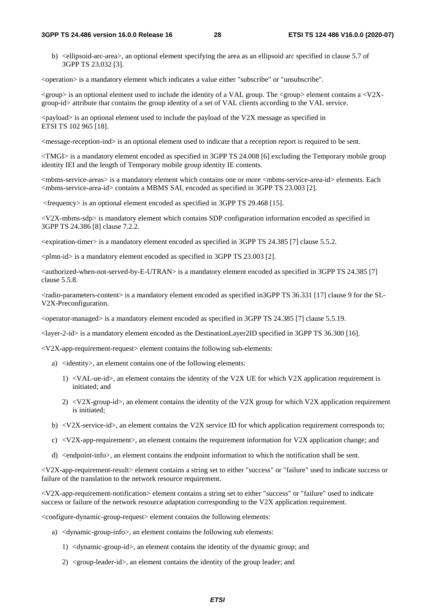b) <ellipsoid-arc-area>, an optional element specifying the area as an ellipsoid arc specified in clause 5.7 of 3GPP TS 23.032 [3].

<br/>operation> is a mandatory element which indicates a value either "subscribe" or "unsubscribe".

<group> is an optional element used to include the identity of a VAL group. The <group> element contains a <V2Xgroup-id> attribute that contains the group identity of a set of VAL clients according to the VAL service.

 $\langle$ payload $\rangle$  is an optional element used to include the payload of the V2X message as specified in ETSI TS 102 965 [18].

<message-reception-ind> is an optional element used to indicate that a reception report is required to be sent.

<TMGI> is a mandatory element encoded as specified in 3GPP TS 24.008 [6] excluding the Temporary mobile group identity IEI and the length of Temporary mobile group identity IE contents.

<mbms-service-areas> is a mandatory element which contains one or more <mbms-service-area-id> elements. Each <mbms-service-area-id> contains a MBMS SAI, encoded as specified in 3GPP TS 23.003 [2].

<frequency> is an optional element encoded as specified in 3GPP TS 29.468 [15].

<V2X-mbms-sdp> is mandatory element which contains SDP configuration information encoded as specified in 3GPP TS 24.386 [8] clause 7.2.2.

<expiration-timer> is a mandatory element encoded as specified in 3GPP TS 24.385 [7] clause 5.5.2.

<plmn-id> is a mandatory element encoded as specified in 3GPP TS 23.003 [2].

<authorized-when-not-served-by-E-UTRAN> is a mandatory element encoded as specified in 3GPP TS 24.385 [7] clause 5.5.8.

<radio-parameters-content> is a mandatory element encoded as specified in3GPP TS 36.331 [17] clause 9 for the SL-V2X-Preconfiguration.

<operator-managed> is a mandatory element encoded as specified in 3GPP TS 24.385 [7] clause 5.5.19.

<layer-2-id> is a mandatory element encoded as the DestinationLayer2ID specified in 3GPP TS 36.300 [16].

 $\langle V2X$ -app-requirement-request $>$  element contains the following sub-elements:

- a) <identity>, an element contains one of the following elements:
	- 1) <VAL-ue-id>, an element contains the identity of the V2X UE for which V2X application requirement is initiated; and
	- 2) <V2X-group-id>, an element contains the identity of the V2X group for which V2X application requirement is initiated;
- b) <V2X-service-id>, an element contains the V2X service ID for which application requirement corresponds to;
- c)  $\langle$ V2X-app-requirement>, an element contains the requirement information for V2X application change; and
- d) <endpoint-info>, an element contains the endpoint information to which the notification shall be sent.

<V2X-app-requirement-result> element contains a string set to either "success" or "failure" used to indicate success or failure of the translation to the network resource requirement.

<V2X-app-requirement-notification> element contains a string set to either "success" or "failure" used to indicate success or failure of the network resource adaptation corresponding to the V2X application requirement.

<configure-dynamic-group-request> element contains the following elements:

- a) <dynamic-group-info>, an element contains the following sub elements:
	- 1) <dynamic-group-id>, an element contains the identity of the dynamic group; and
	- 2) <group-leader-id>, an element contains the identity of the group leader; and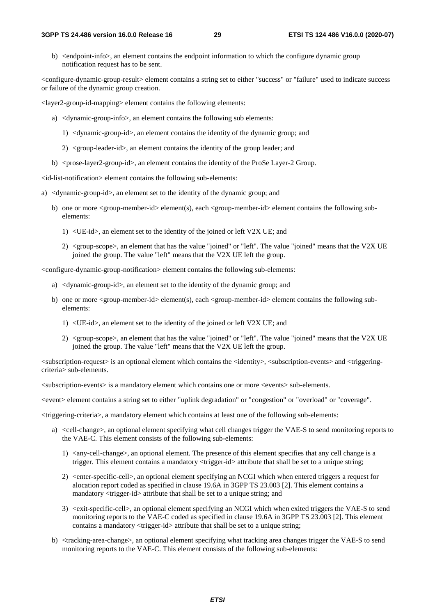b) <endpoint-info>, an element contains the endpoint information to which the configure dynamic group notification request has to be sent.

<configure-dynamic-group-result> element contains a string set to either "success" or "failure" used to indicate success or failure of the dynamic group creation.

<layer2-group-id-mapping> element contains the following elements:

- a) <dynamic-group-info>, an element contains the following sub elements:
	- 1) <dynamic-group-id>, an element contains the identity of the dynamic group; and
	- 2) <group-leader-id>, an element contains the identity of the group leader; and
- b) <prose-layer2-group-id>, an element contains the identity of the ProSe Layer-2 Group.

<id-list-notification> element contains the following sub-elements:

- a) <dynamic-group-id>, an element set to the identity of the dynamic group; and
	- b) one or more <group-member-id> element(s), each <group-member-id> element contains the following subelements:
		- 1) <UE-id>, an element set to the identity of the joined or left V2X UE; and
		- 2) <group-scope>, an element that has the value "joined" or "left". The value "joined" means that the V2X UE joined the group. The value "left" means that the V2X UE left the group.

<configure-dynamic-group-notification> element contains the following sub-elements:

- a) <dynamic-group-id>, an element set to the identity of the dynamic group; and
- b) one or more <group-member-id> element(s), each <group-member-id> element contains the following subelements:
	- 1) <UE-id>, an element set to the identity of the joined or left V2X UE; and
	- 2) <group-scope>, an element that has the value "joined" or "left". The value "joined" means that the V2X UE joined the group. The value "left" means that the V2X UE left the group.

 $\leq$ subscription-request $\geq$  is an optional element which contains the  $\leq$ identity $\geq$ ,  $\leq$ subscription-events $\geq$  and  $\leq$ triggeringcriteria> sub-elements.

<subscription-events> is a mandatory element which contains one or more <events> sub-elements.

<event> element contains a string set to either "uplink degradation" or "congestion" or "overload" or "coverage".

<triggering-criteria>, a mandatory element which contains at least one of the following sub-elements:

- a) <cell-change>, an optional element specifying what cell changes trigger the VAE-S to send monitoring reports to the VAE-C. This element consists of the following sub-elements:
	- 1) <any-cell-change>, an optional element. The presence of this element specifies that any cell change is a trigger. This element contains a mandatory <trigger-id> attribute that shall be set to a unique string;
	- 2) <enter-specific-cell>, an optional element specifying an NCGI which when entered triggers a request for alocation report coded as specified in clause 19.6A in 3GPP TS 23.003 [2]. This element contains a mandatory <trigger-id> attribute that shall be set to a unique string; and
	- 3) <exit-specific-cell>, an optional element specifying an NCGI which when exited triggers the VAE-S to send monitoring reports to the VAE-C coded as specified in clause 19.6A in 3GPP TS 23.003 [2]. This element contains a mandatory <trigger-id> attribute that shall be set to a unique string;
- b) <tracking-area-change>, an optional element specifying what tracking area changes trigger the VAE-S to send monitoring reports to the VAE-C. This element consists of the following sub-elements: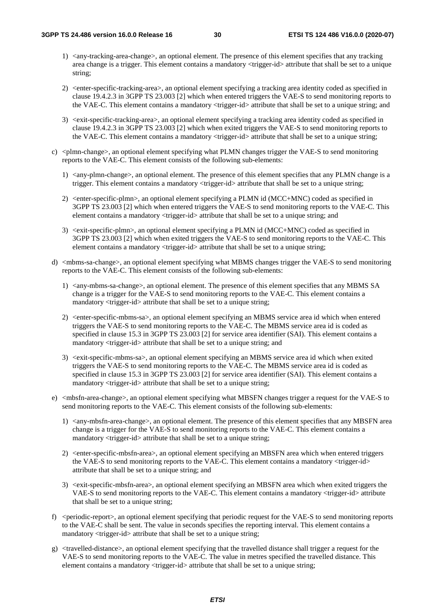- 1) <any-tracking-area-change>, an optional element. The presence of this element specifies that any tracking area change is a trigger. This element contains a mandatory <trigger-id> attribute that shall be set to a unique string;
- 2) <enter-specific-tracking-area>, an optional element specifying a tracking area identity coded as specified in clause 19.4.2.3 in 3GPP TS 23.003 [2] which when entered triggers the VAE-S to send monitoring reports to the VAE-C. This element contains a mandatory <trigger-id> attribute that shall be set to a unique string; and
- 3) <exit-specific-tracking-area>, an optional element specifying a tracking area identity coded as specified in clause 19.4.2.3 in 3GPP TS 23.003 [2] which when exited triggers the VAE-S to send monitoring reports to the VAE-C. This element contains a mandatory <trigger-id> attribute that shall be set to a unique string;
- c) <plmn-change>, an optional element specifying what PLMN changes trigger the VAE-S to send monitoring reports to the VAE-C. This element consists of the following sub-elements:
	- 1) <any-plmn-change>, an optional element. The presence of this element specifies that any PLMN change is a trigger. This element contains a mandatory <trigger-id> attribute that shall be set to a unique string;
	- 2) <enter-specific-plmn>, an optional element specifying a PLMN id (MCC+MNC) coded as specified in 3GPP TS 23.003 [2] which when entered triggers the VAE-S to send monitoring reports to the VAE-C. This element contains a mandatory <trigger-id> attribute that shall be set to a unique string; and
	- 3) <exit-specific-plmn>, an optional element specifying a PLMN id (MCC+MNC) coded as specified in 3GPP TS 23.003 [2] which when exited triggers the VAE-S to send monitoring reports to the VAE-C. This element contains a mandatory <trigger-id> attribute that shall be set to a unique string;
- d) <mbms-sa-change>, an optional element specifying what MBMS changes trigger the VAE-S to send monitoring reports to the VAE-C. This element consists of the following sub-elements:
	- 1) <any-mbms-sa-change>, an optional element. The presence of this element specifies that any MBMS SA change is a trigger for the VAE-S to send monitoring reports to the VAE-C. This element contains a mandatory <trigger-id> attribute that shall be set to a unique string;
	- 2) <enter-specific-mbms-sa>, an optional element specifying an MBMS service area id which when entered triggers the VAE-S to send monitoring reports to the VAE-C. The MBMS service area id is coded as specified in clause 15.3 in 3GPP TS 23.003 [2] for service area identifier (SAI). This element contains a mandatory <trigger-id> attribute that shall be set to a unique string; and
	- 3) <exit-specific-mbms-sa>, an optional element specifying an MBMS service area id which when exited triggers the VAE-S to send monitoring reports to the VAE-C. The MBMS service area id is coded as specified in clause 15.3 in 3GPP TS 23.003 [2] for service area identifier (SAI). This element contains a mandatory <trigger-id> attribute that shall be set to a unique string;
- e) <mbsfn-area-change>, an optional element specifying what MBSFN changes trigger a request for the VAE-S to send monitoring reports to the VAE-C. This element consists of the following sub-elements:
	- 1) <any-mbsfn-area-change>, an optional element. The presence of this element specifies that any MBSFN area change is a trigger for the VAE-S to send monitoring reports to the VAE-C. This element contains a mandatory <trigger-id> attribute that shall be set to a unique string;
	- 2) <enter-specific-mbsfn-area>, an optional element specifying an MBSFN area which when entered triggers the VAE-S to send monitoring reports to the VAE-C. This element contains a mandatory <trigger-id> attribute that shall be set to a unique string; and
	- 3) <exit-specific-mbsfn-area>, an optional element specifying an MBSFN area which when exited triggers the VAE-S to send monitoring reports to the VAE-C. This element contains a mandatory <trigger-id> attribute that shall be set to a unique string;
- f) <periodic-report>, an optional element specifying that periodic request for the VAE-S to send monitoring reports to the VAE-C shall be sent. The value in seconds specifies the reporting interval. This element contains a mandatory <trigger-id> attribute that shall be set to a unique string;
- g) <travelled-distance>, an optional element specifying that the travelled distance shall trigger a request for the VAE-S to send monitoring reports to the VAE-C. The value in metres specified the travelled distance. This element contains a mandatory <trigger-id> attribute that shall be set to a unique string;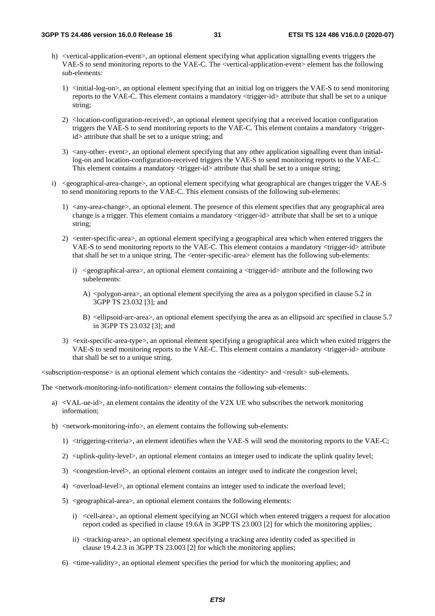- h) <vertical-application-event>, an optional element specifying what application signalling events triggers the VAE-S to send monitoring reports to the VAE-C. The <vertical-application-event> element has the following sub-elements:
	- 1) <initial-log-on>, an optional element specifying that an initial log on triggers the VAE-S to send monitoring reports to the VAE-C. This element contains a mandatory  $\langle$ trigger-id> attribute that shall be set to a unique string;
	- 2) <location-configuration-received>, an optional element specifying that a received location configuration triggers the VAE-S to send monitoring reports to the VAE-C. This element contains a mandatory <triggerid> attribute that shall be set to a unique string; and
	- 3) <any-other- event>, an optional element specifying that any other application signalling event than initiallog-on and location-configuration-received triggers the VAE-S to send monitoring reports to the VAE-C. This element contains a mandatory <trigger-id> attribute that shall be set to a unique string;
- i) <geographical-area-change>, an optional element specifying what geographical are changes trigger the VAE-S to send monitoring reports to the VAE-C. This element consists of the following sub-elements:
	- 1) <any-area-change>, an optional element. The presence of this element specifies that any geographical area change is a trigger. This element contains a mandatory <trigger-id> attribute that shall be set to a unique string;
	- 2) <enter-specific-area>, an optional element specifying a geographical area which when entered triggers the VAE-S to send monitoring reports to the VAE-C. This element contains a mandatory <trigger-id> attribute that shall be set to a unique string. The <enter-specific-area> element has the following sub-elements:
		- i) <geographical-area>, an optional element containing a <trigger-id> attribute and the following two subelements:
			- A)  $\langle$ polygon-area $\rangle$ , an optional element specifying the area as a polygon specified in clause 5.2 in 3GPP TS 23.032 [3]; and
			- B) <ellipsoid-arc-area>, an optional element specifying the area as an ellipsoid arc specified in clause 5.7 in 3GPP TS 23.032 [3]; and
	- 3) <exit-specific-area-type>, an optional element specifying a geographical area which when exited triggers the VAE-S to send monitoring reports to the VAE-C. This element contains a mandatory <trigger-id> attribute that shall be set to a unique string.

<subscription-response> is an optional element which contains the <identity> and <result> sub-elements.

The <network-monitoring-info-notification> element contains the following sub-elements:

- a) <VAL-ue-id>, an element contains the identity of the V2X UE who subscribes the network monitoring information;
- b) <network-monitoring-info>, an element contains the following sub-elements:
	- 1) <triggering-criteria>, an element identifies when the VAE-S will send the monitoring reports to the VAE-C;
	- 2) <uplink-qulity-level>, an optional element contains an integer used to indicate the uplink quality level;
	- 3) <congestion-level>, an optional element contains an integer used to indicate the congestion level;
	- 4) <overload-level>, an optional element contains an integer used to indicate the overload level;
	- 5) <geographical-area>, an optional element contains the following elements:
		- i) <cell-area>, an optional element specifying an NCGI which when entered triggers a request for alocation report coded as specified in clause 19.6A in 3GPP TS 23.003 [2] for which the monitoring applies;
		- ii) <tracking-area>, an optional element specifying a tracking area identity coded as specified in clause 19.4.2.3 in 3GPP TS 23.003 [2] for which the monitoring applies;
	- 6) <time-validity>, an optional element specifies the period for which the monitoring applies; and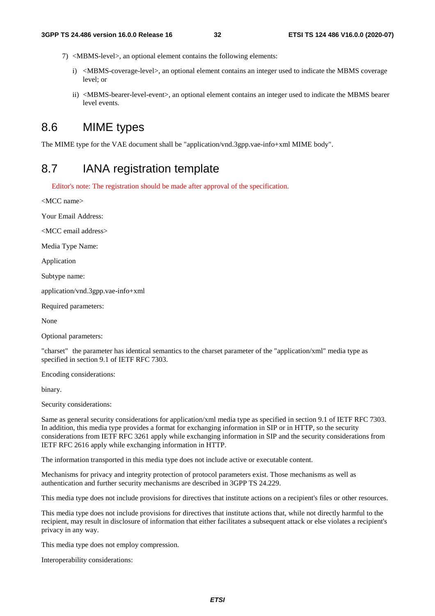- 7) <MBMS-level>, an optional element contains the following elements:
	- i) <MBMS-coverage-level>, an optional element contains an integer used to indicate the MBMS coverage level; or
	- ii) <MBMS-bearer-level-event>, an optional element contains an integer used to indicate the MBMS bearer level events.

### 8.6 MIME types

The MIME type for the VAE document shall be "application/vnd.3gpp.vae-info+xml MIME body".

### 8.7 IANA registration template

Editor's note: The registration should be made after approval of the specification.

<MCC name>

Your Email Address:

<MCC email address>

Media Type Name:

Application

Subtype name:

application/vnd.3gpp.vae-info+xml

Required parameters:

None

Optional parameters:

"charset" the parameter has identical semantics to the charset parameter of the "application/xml" media type as specified in section 9.1 of IETF RFC 7303.

Encoding considerations:

binary.

Security considerations:

Same as general security considerations for application/xml media type as specified in section 9.1 of IETF RFC 7303. In addition, this media type provides a format for exchanging information in SIP or in HTTP, so the security considerations from IETF RFC 3261 apply while exchanging information in SIP and the security considerations from IETF RFC 2616 apply while exchanging information in HTTP.

The information transported in this media type does not include active or executable content.

Mechanisms for privacy and integrity protection of protocol parameters exist. Those mechanisms as well as authentication and further security mechanisms are described in 3GPP TS 24.229.

This media type does not include provisions for directives that institute actions on a recipient's files or other resources.

This media type does not include provisions for directives that institute actions that, while not directly harmful to the recipient, may result in disclosure of information that either facilitates a subsequent attack or else violates a recipient's privacy in any way.

This media type does not employ compression.

Interoperability considerations: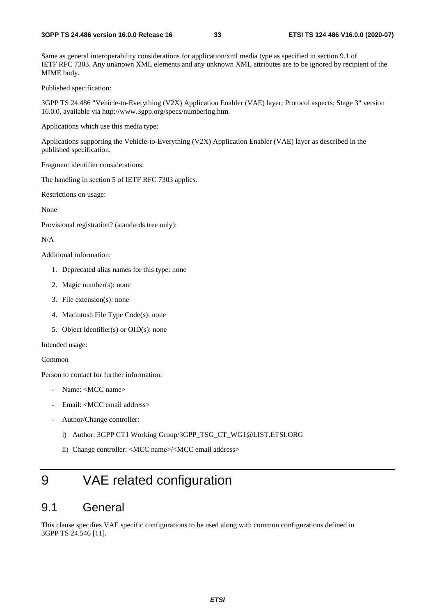Same as general interoperability considerations for application/xml media type as specified in section 9.1 of IETF RFC 7303. Any unknown XML elements and any unknown XML attributes are to be ignored by recipient of the MIME body.

Published specification:

3GPP TS 24.486 "Vehicle-to-Everything (V2X) Application Enabler (VAE) layer; Protocol aspects; Stage 3" version 16.0.0, available via http://www.3gpp.org/specs/numbering.htm.

Applications which use this media type:

Applications supporting the Vehicle-to-Everything (V2X) Application Enabler (VAE) layer as described in the published specification.

Fragment identifier considerations:

The handling in section 5 of IETF RFC 7303 applies.

Restrictions on usage:

None

Provisional registration? (standards tree only):

N/A

Additional information:

- 1. Deprecated alias names for this type: none
- 2. Magic number(s): none
- 3. File extension(s): none
- 4. Macintosh File Type Code(s): none
- 5. Object Identifier(s) or OID(s): none

Intended usage:

Common

Person to contact for further information:

- Name: <MCC name>
- Email: <MCC email address>
- Author/Change controller:
	- i) Author: 3GPP CT1 Working Group/3GPP\_TSG\_CT\_WG1@LIST.ETSI.ORG
	- ii) Change controller: <MCC name>/<MCC email address>

# 9 VAE related configuration

### 9.1 General

This clause specifies VAE specific configurations to be used along with common configurations defined in 3GPP TS 24.546 [11].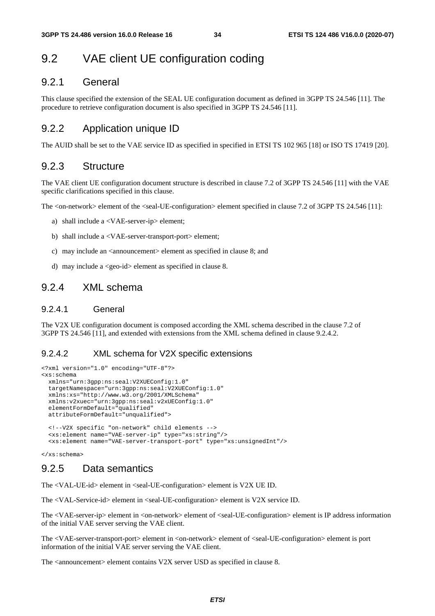### 9.2 VAE client UE configuration coding

### 9.2.1 General

This clause specified the extension of the SEAL UE configuration document as defined in 3GPP TS 24.546 [11]. The procedure to retrieve configuration document is also specified in 3GPP TS 24.546 [11].

#### 9.2.2 Application unique ID

The AUID shall be set to the VAE service ID as specified in specified in ETSI TS 102 965 [18] or ISO TS 17419 [20].

#### 9.2.3 Structure

The VAE client UE configuration document structure is described in clause 7.2 of 3GPP TS 24.546 [11] with the VAE specific clarifications specified in this clause.

The <on-network> element of the <seal-UE-configuration> element specified in clause 7.2 of 3GPP TS 24.546 [11]:

- a) shall include a <VAE-server-ip> element;
- b) shall include a <VAE-server-transport-port> element;
- c) may include an <announcement> element as specified in clause 8; and
- d) may include a <geo-id> element as specified in clause 8.

### 9.2.4 XML schema

#### 9.2.4.1 General

The V2X UE configuration document is composed according the XML schema described in the clause 7.2 of 3GPP TS 24.546 [11], and extended with extensions from the XML schema defined in clause 9.2.4.2.

#### 9.2.4.2 XML schema for V2X specific extensions

```
<?xml version="1.0" encoding="UTF-8"?> 
<xs:schema 
  xmlns="urn:3gpp:ns:seal:V2XUEConfig:1.0" 
  targetNamespace="urn:3gpp:ns:seal:V2XUEConfig:1.0" 
  xmlns:xs="http://www.w3.org/2001/XMLSchema" 
  xmlns:v2xuec="urn:3gpp:ns:seal:v2xUEConfig:1.0" 
  elementFormDefault="qualified" 
  attributeFormDefault="unqualified"> 
   <!--V2X specific "on-network" child elements --> 
   <xs:element name="VAE-server-ip" type="xs:string"/> 
   <xs:element name="VAE-server-transport-port" type="xs:unsignedInt"/>
```
</xs:schema>

#### 9.2.5 Data semantics

The <VAL-UE-id> element in <seal-UE-configuration> element is V2X UE ID.

The <VAL-Service-id> element in <seal-UE-configuration> element is V2X service ID.

The <VAE-server-ip> element in <on-network> element of <seal-UE-configuration> element is IP address information of the initial VAE server serving the VAE client.

The <VAE-server-transport-port> element in <on-network> element of <seal-UE-configuration> element is port information of the initial VAE server serving the VAE client.

The <announcement> element contains V2X server USD as specified in clause 8.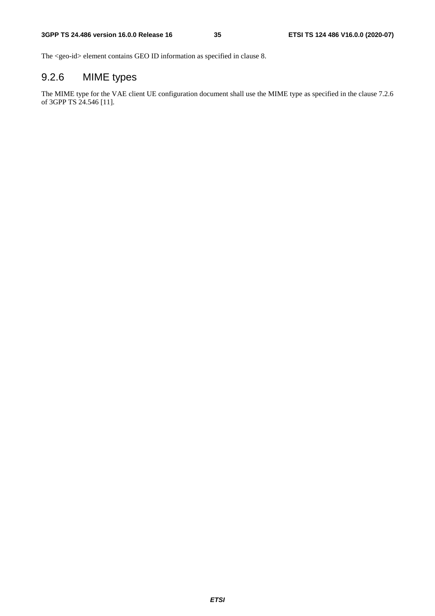The <geo-id> element contains GEO ID information as specified in clause 8.

### 9.2.6 MIME types

The MIME type for the VAE client UE configuration document shall use the MIME type as specified in the clause 7.2.6 of 3GPP TS 24.546 [11].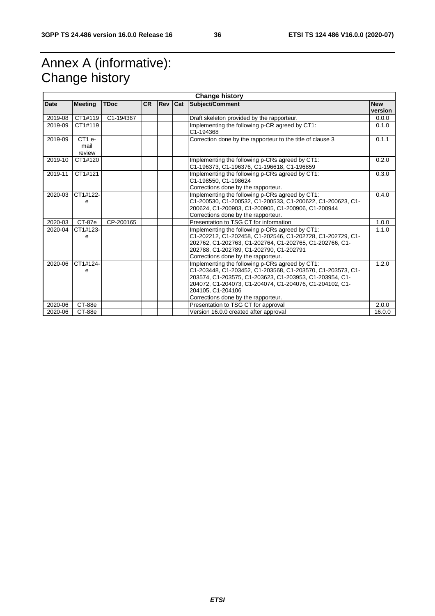# Annex A (informative): Change history

| <b>Change history</b> |                        |             |           |            |     |                                                                                                                                                                                                                                                                                                 |                       |
|-----------------------|------------------------|-------------|-----------|------------|-----|-------------------------------------------------------------------------------------------------------------------------------------------------------------------------------------------------------------------------------------------------------------------------------------------------|-----------------------|
| Date                  | <b>Meeting</b>         | <b>TDoc</b> | <b>CR</b> | <b>Rev</b> | Cat | Subject/Comment                                                                                                                                                                                                                                                                                 | <b>New</b><br>version |
| 2019-08               | CT1#119                | C1-194367   |           |            |     | Draft skeleton provided by the rapporteur.                                                                                                                                                                                                                                                      | 0.0.0                 |
| 2019-09               | CT1#119                |             |           |            |     | Implementing the following p-CR agreed by CT1:<br>C1-194368                                                                                                                                                                                                                                     | 0.1.0                 |
| 2019-09               | CT1e<br>mail<br>review |             |           |            |     | Correction done by the rapporteur to the title of clause 3                                                                                                                                                                                                                                      | 0.1.1                 |
| 2019-10               | CT1#120                |             |           |            |     | Implementing the following p-CRs agreed by CT1:<br>C1-196373, C1-196376, C1-196618, C1-196859                                                                                                                                                                                                   | 0.2.0                 |
| 2019-11               | CT1#121                |             |           |            |     | Implementing the following p-CRs agreed by CT1:<br>C1-198550, C1-198624<br>Corrections done by the rapporteur.                                                                                                                                                                                  | 0.3.0                 |
| 2020-03               | CT1#122-<br>e          |             |           |            |     | Implementing the following p-CRs agreed by CT1:<br>C1-200530, C1-200532, C1-200533, C1-200622, C1-200623, C1-<br>200624, C1-200903, C1-200905, C1-200906, C1-200944<br>Corrections done by the rapporteur.                                                                                      | 0.4.0                 |
| 2020-03               | <b>CT-87e</b>          | CP-200165   |           |            |     | Presentation to TSG CT for information                                                                                                                                                                                                                                                          | 1.0.0                 |
| 2020-04               | CT1#123-<br>e          |             |           |            |     | Implementing the following p-CRs agreed by CT1:<br>C1-202212, C1-202458, C1-202546, C1-202728, C1-202729, C1-<br>202762, C1-202763, C1-202764, C1-202765, C1-202766, C1-<br>202788, C1-202789, C1-202790, C1-202791<br>Corrections done by the rapporteur.                                      | 1.1.0                 |
| 2020-06               | CT1#124-<br>e          |             |           |            |     | Implementing the following p-CRs agreed by CT1:<br>C1-203448, C1-203452, C1-203568, C1-203570, C1-203573, C1-<br>203574, C1-203575, C1-203623, C1-203953, C1-203954, C1-<br>204072, C1-204073, C1-204074, C1-204076, C1-204102, C1-<br>204105, C1-204106<br>Corrections done by the rapporteur. | 1.2.0                 |
| 2020-06               | CT-88e                 |             |           |            |     | Presentation to TSG CT for approval                                                                                                                                                                                                                                                             | 2.0.0                 |
| 2020-06               | CT-88e                 |             |           |            |     | Version 16.0.0 created after approval                                                                                                                                                                                                                                                           | 16.0.0                |